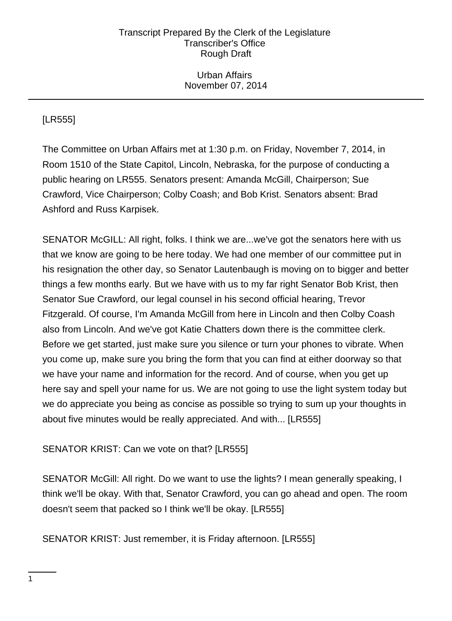# Urban Affairs November 07, 2014

# [LR555]

The Committee on Urban Affairs met at 1:30 p.m. on Friday, November 7, 2014, in Room 1510 of the State Capitol, Lincoln, Nebraska, for the purpose of conducting a public hearing on LR555. Senators present: Amanda McGill, Chairperson; Sue Crawford, Vice Chairperson; Colby Coash; and Bob Krist. Senators absent: Brad Ashford and Russ Karpisek.

SENATOR McGILL: All right, folks. I think we are...we've got the senators here with us that we know are going to be here today. We had one member of our committee put in his resignation the other day, so Senator Lautenbaugh is moving on to bigger and better things a few months early. But we have with us to my far right Senator Bob Krist, then Senator Sue Crawford, our legal counsel in his second official hearing, Trevor Fitzgerald. Of course, I'm Amanda McGill from here in Lincoln and then Colby Coash also from Lincoln. And we've got Katie Chatters down there is the committee clerk. Before we get started, just make sure you silence or turn your phones to vibrate. When you come up, make sure you bring the form that you can find at either doorway so that we have your name and information for the record. And of course, when you get up here say and spell your name for us. We are not going to use the light system today but we do appreciate you being as concise as possible so trying to sum up your thoughts in about five minutes would be really appreciated. And with... [LR555]

# SENATOR KRIST: Can we vote on that? [LR555]

SENATOR McGill: All right. Do we want to use the lights? I mean generally speaking, I think we'll be okay. With that, Senator Crawford, you can go ahead and open. The room doesn't seem that packed so I think we'll be okay. [LR555]

SENATOR KRIST: Just remember, it is Friday afternoon. [LR555]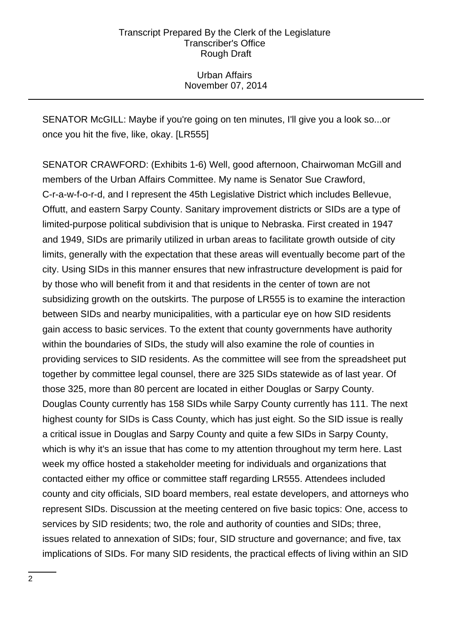Urban Affairs November 07, 2014

SENATOR McGILL: Maybe if you're going on ten minutes, I'll give you a look so...or once you hit the five, like, okay. [LR555]

SENATOR CRAWFORD: (Exhibits 1-6) Well, good afternoon, Chairwoman McGill and members of the Urban Affairs Committee. My name is Senator Sue Crawford, C-r-a-w-f-o-r-d, and I represent the 45th Legislative District which includes Bellevue, Offutt, and eastern Sarpy County. Sanitary improvement districts or SIDs are a type of limited-purpose political subdivision that is unique to Nebraska. First created in 1947 and 1949, SIDs are primarily utilized in urban areas to facilitate growth outside of city limits, generally with the expectation that these areas will eventually become part of the city. Using SIDs in this manner ensures that new infrastructure development is paid for by those who will benefit from it and that residents in the center of town are not subsidizing growth on the outskirts. The purpose of LR555 is to examine the interaction between SIDs and nearby municipalities, with a particular eye on how SID residents gain access to basic services. To the extent that county governments have authority within the boundaries of SIDs, the study will also examine the role of counties in providing services to SID residents. As the committee will see from the spreadsheet put together by committee legal counsel, there are 325 SIDs statewide as of last year. Of those 325, more than 80 percent are located in either Douglas or Sarpy County. Douglas County currently has 158 SIDs while Sarpy County currently has 111. The next highest county for SIDs is Cass County, which has just eight. So the SID issue is really a critical issue in Douglas and Sarpy County and quite a few SIDs in Sarpy County, which is why it's an issue that has come to my attention throughout my term here. Last week my office hosted a stakeholder meeting for individuals and organizations that contacted either my office or committee staff regarding LR555. Attendees included county and city officials, SID board members, real estate developers, and attorneys who represent SIDs. Discussion at the meeting centered on five basic topics: One, access to services by SID residents; two, the role and authority of counties and SIDs; three, issues related to annexation of SIDs; four, SID structure and governance; and five, tax implications of SIDs. For many SID residents, the practical effects of living within an SID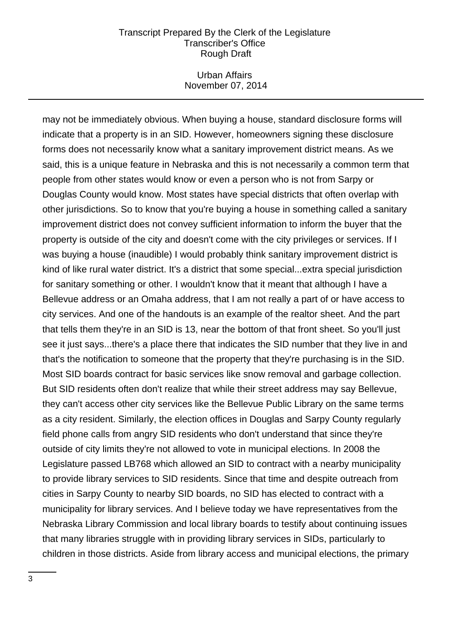### Urban Affairs November 07, 2014

may not be immediately obvious. When buying a house, standard disclosure forms will indicate that a property is in an SID. However, homeowners signing these disclosure forms does not necessarily know what a sanitary improvement district means. As we said, this is a unique feature in Nebraska and this is not necessarily a common term that people from other states would know or even a person who is not from Sarpy or Douglas County would know. Most states have special districts that often overlap with other jurisdictions. So to know that you're buying a house in something called a sanitary improvement district does not convey sufficient information to inform the buyer that the property is outside of the city and doesn't come with the city privileges or services. If I was buying a house (inaudible) I would probably think sanitary improvement district is kind of like rural water district. It's a district that some special...extra special jurisdiction for sanitary something or other. I wouldn't know that it meant that although I have a Bellevue address or an Omaha address, that I am not really a part of or have access to city services. And one of the handouts is an example of the realtor sheet. And the part that tells them they're in an SID is 13, near the bottom of that front sheet. So you'll just see it just says...there's a place there that indicates the SID number that they live in and that's the notification to someone that the property that they're purchasing is in the SID. Most SID boards contract for basic services like snow removal and garbage collection. But SID residents often don't realize that while their street address may say Bellevue, they can't access other city services like the Bellevue Public Library on the same terms as a city resident. Similarly, the election offices in Douglas and Sarpy County regularly field phone calls from angry SID residents who don't understand that since they're outside of city limits they're not allowed to vote in municipal elections. In 2008 the Legislature passed LB768 which allowed an SID to contract with a nearby municipality to provide library services to SID residents. Since that time and despite outreach from cities in Sarpy County to nearby SID boards, no SID has elected to contract with a municipality for library services. And I believe today we have representatives from the Nebraska Library Commission and local library boards to testify about continuing issues that many libraries struggle with in providing library services in SIDs, particularly to children in those districts. Aside from library access and municipal elections, the primary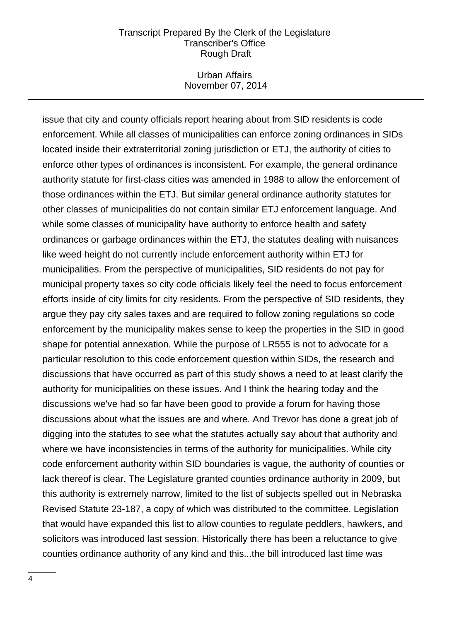### Urban Affairs November 07, 2014

issue that city and county officials report hearing about from SID residents is code enforcement. While all classes of municipalities can enforce zoning ordinances in SIDs located inside their extraterritorial zoning jurisdiction or ETJ, the authority of cities to enforce other types of ordinances is inconsistent. For example, the general ordinance authority statute for first-class cities was amended in 1988 to allow the enforcement of those ordinances within the ETJ. But similar general ordinance authority statutes for other classes of municipalities do not contain similar ETJ enforcement language. And while some classes of municipality have authority to enforce health and safety ordinances or garbage ordinances within the ETJ, the statutes dealing with nuisances like weed height do not currently include enforcement authority within ETJ for municipalities. From the perspective of municipalities, SID residents do not pay for municipal property taxes so city code officials likely feel the need to focus enforcement efforts inside of city limits for city residents. From the perspective of SID residents, they argue they pay city sales taxes and are required to follow zoning regulations so code enforcement by the municipality makes sense to keep the properties in the SID in good shape for potential annexation. While the purpose of LR555 is not to advocate for a particular resolution to this code enforcement question within SIDs, the research and discussions that have occurred as part of this study shows a need to at least clarify the authority for municipalities on these issues. And I think the hearing today and the discussions we've had so far have been good to provide a forum for having those discussions about what the issues are and where. And Trevor has done a great job of digging into the statutes to see what the statutes actually say about that authority and where we have inconsistencies in terms of the authority for municipalities. While city code enforcement authority within SID boundaries is vague, the authority of counties or lack thereof is clear. The Legislature granted counties ordinance authority in 2009, but this authority is extremely narrow, limited to the list of subjects spelled out in Nebraska Revised Statute 23-187, a copy of which was distributed to the committee. Legislation that would have expanded this list to allow counties to regulate peddlers, hawkers, and solicitors was introduced last session. Historically there has been a reluctance to give counties ordinance authority of any kind and this...the bill introduced last time was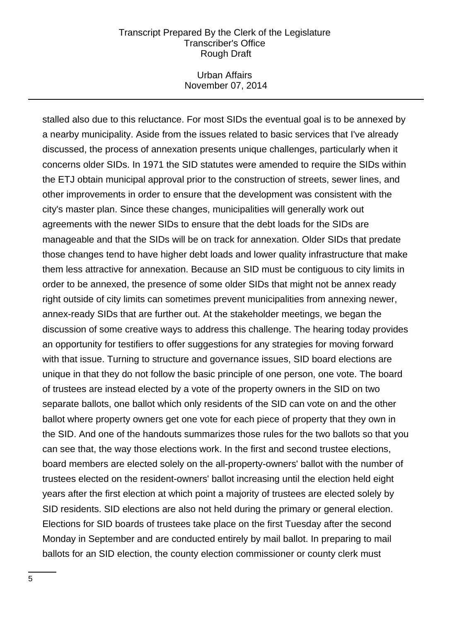### Urban Affairs November 07, 2014

stalled also due to this reluctance. For most SIDs the eventual goal is to be annexed by a nearby municipality. Aside from the issues related to basic services that I've already discussed, the process of annexation presents unique challenges, particularly when it concerns older SIDs. In 1971 the SID statutes were amended to require the SIDs within the ETJ obtain municipal approval prior to the construction of streets, sewer lines, and other improvements in order to ensure that the development was consistent with the city's master plan. Since these changes, municipalities will generally work out agreements with the newer SIDs to ensure that the debt loads for the SIDs are manageable and that the SIDs will be on track for annexation. Older SIDs that predate those changes tend to have higher debt loads and lower quality infrastructure that make them less attractive for annexation. Because an SID must be contiguous to city limits in order to be annexed, the presence of some older SIDs that might not be annex ready right outside of city limits can sometimes prevent municipalities from annexing newer, annex-ready SIDs that are further out. At the stakeholder meetings, we began the discussion of some creative ways to address this challenge. The hearing today provides an opportunity for testifiers to offer suggestions for any strategies for moving forward with that issue. Turning to structure and governance issues, SID board elections are unique in that they do not follow the basic principle of one person, one vote. The board of trustees are instead elected by a vote of the property owners in the SID on two separate ballots, one ballot which only residents of the SID can vote on and the other ballot where property owners get one vote for each piece of property that they own in the SID. And one of the handouts summarizes those rules for the two ballots so that you can see that, the way those elections work. In the first and second trustee elections, board members are elected solely on the all-property-owners' ballot with the number of trustees elected on the resident-owners' ballot increasing until the election held eight years after the first election at which point a majority of trustees are elected solely by SID residents. SID elections are also not held during the primary or general election. Elections for SID boards of trustees take place on the first Tuesday after the second Monday in September and are conducted entirely by mail ballot. In preparing to mail ballots for an SID election, the county election commissioner or county clerk must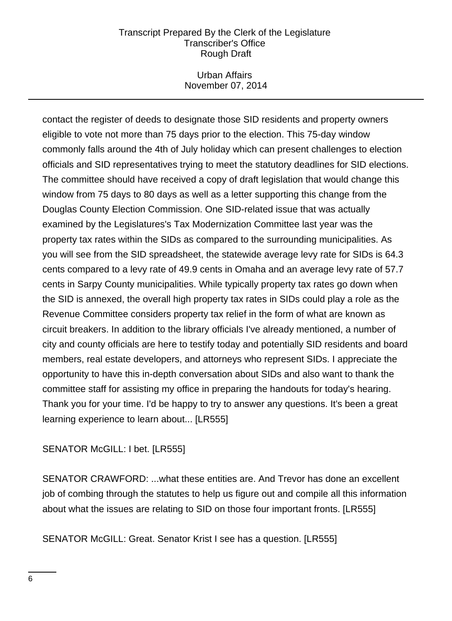### Urban Affairs November 07, 2014

contact the register of deeds to designate those SID residents and property owners eligible to vote not more than 75 days prior to the election. This 75-day window commonly falls around the 4th of July holiday which can present challenges to election officials and SID representatives trying to meet the statutory deadlines for SID elections. The committee should have received a copy of draft legislation that would change this window from 75 days to 80 days as well as a letter supporting this change from the Douglas County Election Commission. One SID-related issue that was actually examined by the Legislatures's Tax Modernization Committee last year was the property tax rates within the SIDs as compared to the surrounding municipalities. As you will see from the SID spreadsheet, the statewide average levy rate for SIDs is 64.3 cents compared to a levy rate of 49.9 cents in Omaha and an average levy rate of 57.7 cents in Sarpy County municipalities. While typically property tax rates go down when the SID is annexed, the overall high property tax rates in SIDs could play a role as the Revenue Committee considers property tax relief in the form of what are known as circuit breakers. In addition to the library officials I've already mentioned, a number of city and county officials are here to testify today and potentially SID residents and board members, real estate developers, and attorneys who represent SIDs. I appreciate the opportunity to have this in-depth conversation about SIDs and also want to thank the committee staff for assisting my office in preparing the handouts for today's hearing. Thank you for your time. I'd be happy to try to answer any questions. It's been a great learning experience to learn about... [LR555]

# SENATOR McGILL: I bet. [LR555]

SENATOR CRAWFORD: ...what these entities are. And Trevor has done an excellent job of combing through the statutes to help us figure out and compile all this information about what the issues are relating to SID on those four important fronts. [LR555]

SENATOR McGILL: Great. Senator Krist I see has a question. [LR555]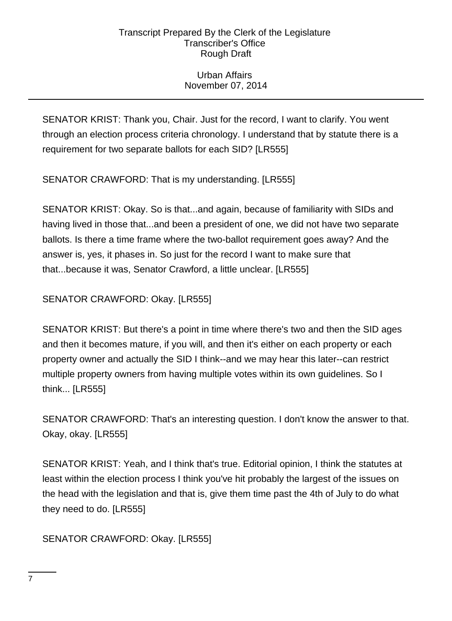# Urban Affairs November 07, 2014

SENATOR KRIST: Thank you, Chair. Just for the record, I want to clarify. You went through an election process criteria chronology. I understand that by statute there is a requirement for two separate ballots for each SID? [LR555]

SENATOR CRAWFORD: That is my understanding. [LR555]

SENATOR KRIST: Okay. So is that...and again, because of familiarity with SIDs and having lived in those that...and been a president of one, we did not have two separate ballots. Is there a time frame where the two-ballot requirement goes away? And the answer is, yes, it phases in. So just for the record I want to make sure that that...because it was, Senator Crawford, a little unclear. [LR555]

SENATOR CRAWFORD: Okay. [LR555]

SENATOR KRIST: But there's a point in time where there's two and then the SID ages and then it becomes mature, if you will, and then it's either on each property or each property owner and actually the SID I think--and we may hear this later--can restrict multiple property owners from having multiple votes within its own guidelines. So I think... [LR555]

SENATOR CRAWFORD: That's an interesting question. I don't know the answer to that. Okay, okay. [LR555]

SENATOR KRIST: Yeah, and I think that's true. Editorial opinion, I think the statutes at least within the election process I think you've hit probably the largest of the issues on the head with the legislation and that is, give them time past the 4th of July to do what they need to do. [LR555]

SENATOR CRAWFORD: Okay. [LR555]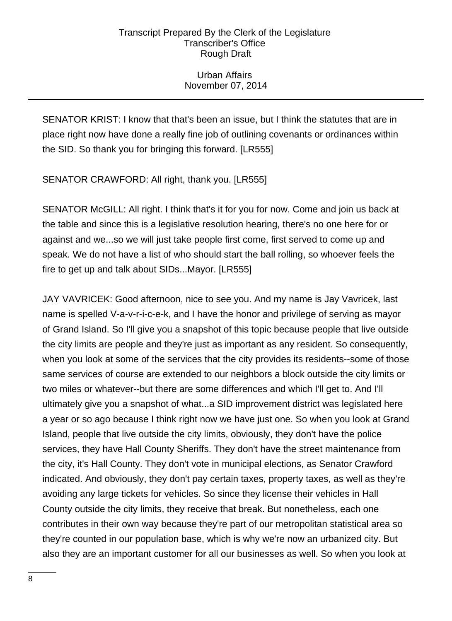# Urban Affairs November 07, 2014

SENATOR KRIST: I know that that's been an issue, but I think the statutes that are in place right now have done a really fine job of outlining covenants or ordinances within the SID. So thank you for bringing this forward. [LR555]

SENATOR CRAWFORD: All right, thank you. [LR555]

SENATOR McGILL: All right. I think that's it for you for now. Come and join us back at the table and since this is a legislative resolution hearing, there's no one here for or against and we...so we will just take people first come, first served to come up and speak. We do not have a list of who should start the ball rolling, so whoever feels the fire to get up and talk about SIDs...Mayor. [LR555]

JAY VAVRICEK: Good afternoon, nice to see you. And my name is Jay Vavricek, last name is spelled V-a-v-r-i-c-e-k, and I have the honor and privilege of serving as mayor of Grand Island. So I'll give you a snapshot of this topic because people that live outside the city limits are people and they're just as important as any resident. So consequently, when you look at some of the services that the city provides its residents--some of those same services of course are extended to our neighbors a block outside the city limits or two miles or whatever--but there are some differences and which I'll get to. And I'll ultimately give you a snapshot of what...a SID improvement district was legislated here a year or so ago because I think right now we have just one. So when you look at Grand Island, people that live outside the city limits, obviously, they don't have the police services, they have Hall County Sheriffs. They don't have the street maintenance from the city, it's Hall County. They don't vote in municipal elections, as Senator Crawford indicated. And obviously, they don't pay certain taxes, property taxes, as well as they're avoiding any large tickets for vehicles. So since they license their vehicles in Hall County outside the city limits, they receive that break. But nonetheless, each one contributes in their own way because they're part of our metropolitan statistical area so they're counted in our population base, which is why we're now an urbanized city. But also they are an important customer for all our businesses as well. So when you look at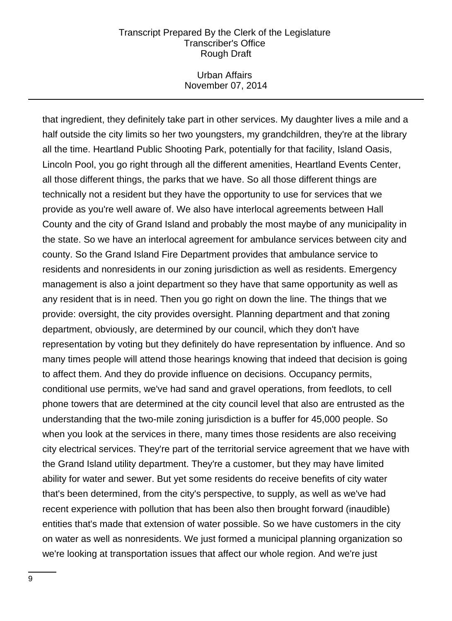### Urban Affairs November 07, 2014

that ingredient, they definitely take part in other services. My daughter lives a mile and a half outside the city limits so her two youngsters, my grandchildren, they're at the library all the time. Heartland Public Shooting Park, potentially for that facility, Island Oasis, Lincoln Pool, you go right through all the different amenities, Heartland Events Center, all those different things, the parks that we have. So all those different things are technically not a resident but they have the opportunity to use for services that we provide as you're well aware of. We also have interlocal agreements between Hall County and the city of Grand Island and probably the most maybe of any municipality in the state. So we have an interlocal agreement for ambulance services between city and county. So the Grand Island Fire Department provides that ambulance service to residents and nonresidents in our zoning jurisdiction as well as residents. Emergency management is also a joint department so they have that same opportunity as well as any resident that is in need. Then you go right on down the line. The things that we provide: oversight, the city provides oversight. Planning department and that zoning department, obviously, are determined by our council, which they don't have representation by voting but they definitely do have representation by influence. And so many times people will attend those hearings knowing that indeed that decision is going to affect them. And they do provide influence on decisions. Occupancy permits, conditional use permits, we've had sand and gravel operations, from feedlots, to cell phone towers that are determined at the city council level that also are entrusted as the understanding that the two-mile zoning jurisdiction is a buffer for 45,000 people. So when you look at the services in there, many times those residents are also receiving city electrical services. They're part of the territorial service agreement that we have with the Grand Island utility department. They're a customer, but they may have limited ability for water and sewer. But yet some residents do receive benefits of city water that's been determined, from the city's perspective, to supply, as well as we've had recent experience with pollution that has been also then brought forward (inaudible) entities that's made that extension of water possible. So we have customers in the city on water as well as nonresidents. We just formed a municipal planning organization so we're looking at transportation issues that affect our whole region. And we're just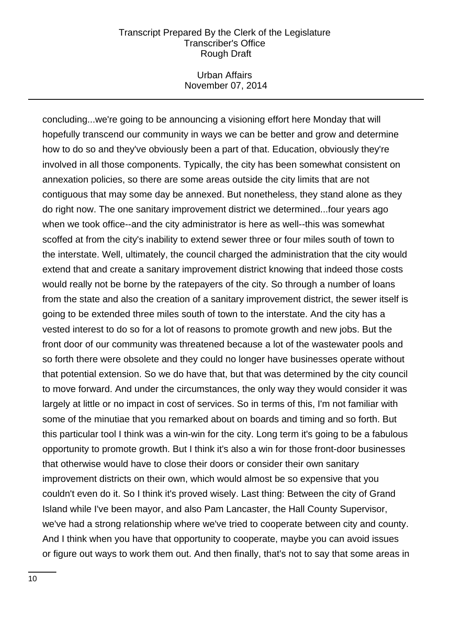### Urban Affairs November 07, 2014

concluding...we're going to be announcing a visioning effort here Monday that will hopefully transcend our community in ways we can be better and grow and determine how to do so and they've obviously been a part of that. Education, obviously they're involved in all those components. Typically, the city has been somewhat consistent on annexation policies, so there are some areas outside the city limits that are not contiguous that may some day be annexed. But nonetheless, they stand alone as they do right now. The one sanitary improvement district we determined...four years ago when we took office--and the city administrator is here as well--this was somewhat scoffed at from the city's inability to extend sewer three or four miles south of town to the interstate. Well, ultimately, the council charged the administration that the city would extend that and create a sanitary improvement district knowing that indeed those costs would really not be borne by the ratepayers of the city. So through a number of loans from the state and also the creation of a sanitary improvement district, the sewer itself is going to be extended three miles south of town to the interstate. And the city has a vested interest to do so for a lot of reasons to promote growth and new jobs. But the front door of our community was threatened because a lot of the wastewater pools and so forth there were obsolete and they could no longer have businesses operate without that potential extension. So we do have that, but that was determined by the city council to move forward. And under the circumstances, the only way they would consider it was largely at little or no impact in cost of services. So in terms of this, I'm not familiar with some of the minutiae that you remarked about on boards and timing and so forth. But this particular tool I think was a win-win for the city. Long term it's going to be a fabulous opportunity to promote growth. But I think it's also a win for those front-door businesses that otherwise would have to close their doors or consider their own sanitary improvement districts on their own, which would almost be so expensive that you couldn't even do it. So I think it's proved wisely. Last thing: Between the city of Grand Island while I've been mayor, and also Pam Lancaster, the Hall County Supervisor, we've had a strong relationship where we've tried to cooperate between city and county. And I think when you have that opportunity to cooperate, maybe you can avoid issues or figure out ways to work them out. And then finally, that's not to say that some areas in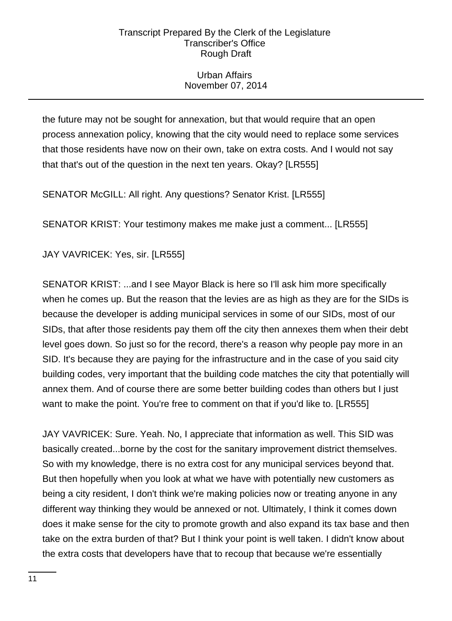# Urban Affairs November 07, 2014

the future may not be sought for annexation, but that would require that an open process annexation policy, knowing that the city would need to replace some services that those residents have now on their own, take on extra costs. And I would not say that that's out of the question in the next ten years. Okay? [LR555]

SENATOR McGILL: All right. Any questions? Senator Krist. [LR555]

SENATOR KRIST: Your testimony makes me make just a comment... [LR555]

JAY VAVRICEK: Yes, sir. [LR555]

SENATOR KRIST: ...and I see Mayor Black is here so I'll ask him more specifically when he comes up. But the reason that the levies are as high as they are for the SIDs is because the developer is adding municipal services in some of our SIDs, most of our SIDs, that after those residents pay them off the city then annexes them when their debt level goes down. So just so for the record, there's a reason why people pay more in an SID. It's because they are paying for the infrastructure and in the case of you said city building codes, very important that the building code matches the city that potentially will annex them. And of course there are some better building codes than others but I just want to make the point. You're free to comment on that if you'd like to. [LR555]

JAY VAVRICEK: Sure. Yeah. No, I appreciate that information as well. This SID was basically created...borne by the cost for the sanitary improvement district themselves. So with my knowledge, there is no extra cost for any municipal services beyond that. But then hopefully when you look at what we have with potentially new customers as being a city resident, I don't think we're making policies now or treating anyone in any different way thinking they would be annexed or not. Ultimately, I think it comes down does it make sense for the city to promote growth and also expand its tax base and then take on the extra burden of that? But I think your point is well taken. I didn't know about the extra costs that developers have that to recoup that because we're essentially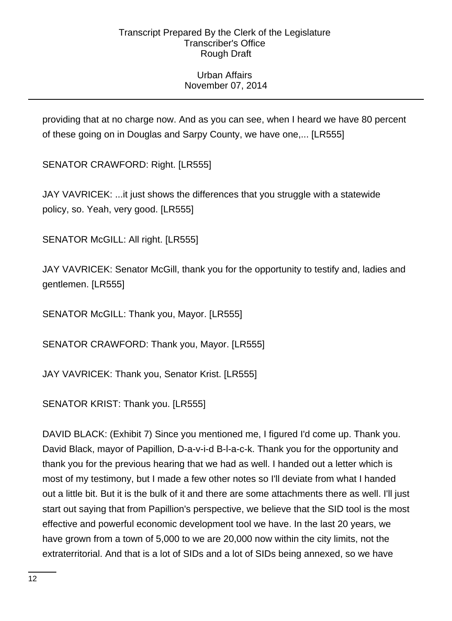# Urban Affairs November 07, 2014

providing that at no charge now. And as you can see, when I heard we have 80 percent of these going on in Douglas and Sarpy County, we have one,... [LR555]

SENATOR CRAWFORD: Right. [LR555]

JAY VAVRICEK: ...it just shows the differences that you struggle with a statewide policy, so. Yeah, very good. [LR555]

SENATOR McGILL: All right. [LR555]

JAY VAVRICEK: Senator McGill, thank you for the opportunity to testify and, ladies and gentlemen. [LR555]

SENATOR McGILL: Thank you, Mayor. [LR555]

SENATOR CRAWFORD: Thank you, Mayor. [LR555]

JAY VAVRICEK: Thank you, Senator Krist. [LR555]

SENATOR KRIST: Thank you. [LR555]

DAVID BLACK: (Exhibit 7) Since you mentioned me, I figured I'd come up. Thank you. David Black, mayor of Papillion, D-a-v-i-d B-l-a-c-k. Thank you for the opportunity and thank you for the previous hearing that we had as well. I handed out a letter which is most of my testimony, but I made a few other notes so I'll deviate from what I handed out a little bit. But it is the bulk of it and there are some attachments there as well. I'll just start out saying that from Papillion's perspective, we believe that the SID tool is the most effective and powerful economic development tool we have. In the last 20 years, we have grown from a town of 5,000 to we are 20,000 now within the city limits, not the extraterritorial. And that is a lot of SIDs and a lot of SIDs being annexed, so we have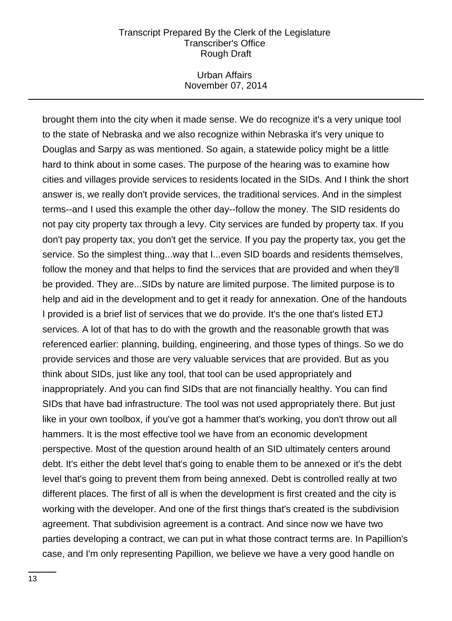### Urban Affairs November 07, 2014

brought them into the city when it made sense. We do recognize it's a very unique tool to the state of Nebraska and we also recognize within Nebraska it's very unique to Douglas and Sarpy as was mentioned. So again, a statewide policy might be a little hard to think about in some cases. The purpose of the hearing was to examine how cities and villages provide services to residents located in the SIDs. And I think the short answer is, we really don't provide services, the traditional services. And in the simplest terms--and I used this example the other day--follow the money. The SID residents do not pay city property tax through a levy. City services are funded by property tax. If you don't pay property tax, you don't get the service. If you pay the property tax, you get the service. So the simplest thing...way that I...even SID boards and residents themselves, follow the money and that helps to find the services that are provided and when they'll be provided. They are...SIDs by nature are limited purpose. The limited purpose is to help and aid in the development and to get it ready for annexation. One of the handouts I provided is a brief list of services that we do provide. It's the one that's listed ETJ services. A lot of that has to do with the growth and the reasonable growth that was referenced earlier: planning, building, engineering, and those types of things. So we do provide services and those are very valuable services that are provided. But as you think about SIDs, just like any tool, that tool can be used appropriately and inappropriately. And you can find SIDs that are not financially healthy. You can find SIDs that have bad infrastructure. The tool was not used appropriately there. But just like in your own toolbox, if you've got a hammer that's working, you don't throw out all hammers. It is the most effective tool we have from an economic development perspective. Most of the question around health of an SID ultimately centers around debt. It's either the debt level that's going to enable them to be annexed or it's the debt level that's going to prevent them from being annexed. Debt is controlled really at two different places. The first of all is when the development is first created and the city is working with the developer. And one of the first things that's created is the subdivision agreement. That subdivision agreement is a contract. And since now we have two parties developing a contract, we can put in what those contract terms are. In Papillion's case, and I'm only representing Papillion, we believe we have a very good handle on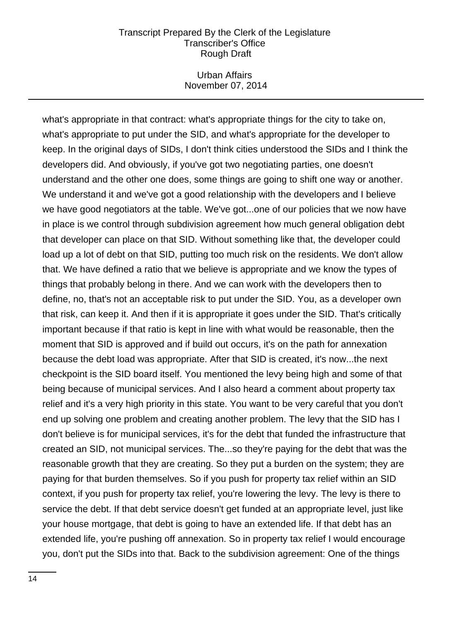### Urban Affairs November 07, 2014

what's appropriate in that contract: what's appropriate things for the city to take on, what's appropriate to put under the SID, and what's appropriate for the developer to keep. In the original days of SIDs, I don't think cities understood the SIDs and I think the developers did. And obviously, if you've got two negotiating parties, one doesn't understand and the other one does, some things are going to shift one way or another. We understand it and we've got a good relationship with the developers and I believe we have good negotiators at the table. We've got...one of our policies that we now have in place is we control through subdivision agreement how much general obligation debt that developer can place on that SID. Without something like that, the developer could load up a lot of debt on that SID, putting too much risk on the residents. We don't allow that. We have defined a ratio that we believe is appropriate and we know the types of things that probably belong in there. And we can work with the developers then to define, no, that's not an acceptable risk to put under the SID. You, as a developer own that risk, can keep it. And then if it is appropriate it goes under the SID. That's critically important because if that ratio is kept in line with what would be reasonable, then the moment that SID is approved and if build out occurs, it's on the path for annexation because the debt load was appropriate. After that SID is created, it's now...the next checkpoint is the SID board itself. You mentioned the levy being high and some of that being because of municipal services. And I also heard a comment about property tax relief and it's a very high priority in this state. You want to be very careful that you don't end up solving one problem and creating another problem. The levy that the SID has I don't believe is for municipal services, it's for the debt that funded the infrastructure that created an SID, not municipal services. The...so they're paying for the debt that was the reasonable growth that they are creating. So they put a burden on the system; they are paying for that burden themselves. So if you push for property tax relief within an SID context, if you push for property tax relief, you're lowering the levy. The levy is there to service the debt. If that debt service doesn't get funded at an appropriate level, just like your house mortgage, that debt is going to have an extended life. If that debt has an extended life, you're pushing off annexation. So in property tax relief I would encourage you, don't put the SIDs into that. Back to the subdivision agreement: One of the things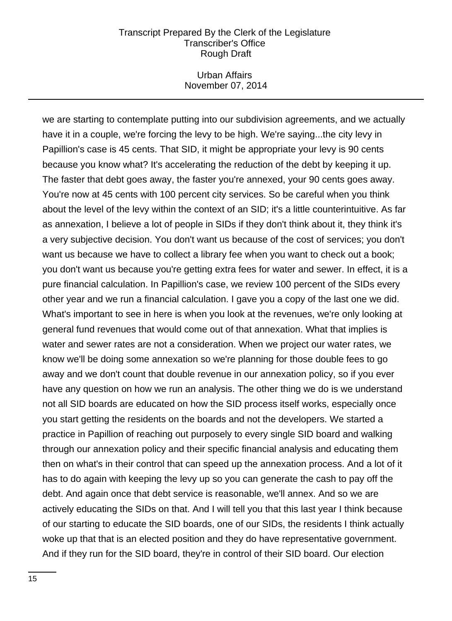### Urban Affairs November 07, 2014

we are starting to contemplate putting into our subdivision agreements, and we actually have it in a couple, we're forcing the levy to be high. We're saying...the city levy in Papillion's case is 45 cents. That SID, it might be appropriate your levy is 90 cents because you know what? It's accelerating the reduction of the debt by keeping it up. The faster that debt goes away, the faster you're annexed, your 90 cents goes away. You're now at 45 cents with 100 percent city services. So be careful when you think about the level of the levy within the context of an SID; it's a little counterintuitive. As far as annexation, I believe a lot of people in SIDs if they don't think about it, they think it's a very subjective decision. You don't want us because of the cost of services; you don't want us because we have to collect a library fee when you want to check out a book; you don't want us because you're getting extra fees for water and sewer. In effect, it is a pure financial calculation. In Papillion's case, we review 100 percent of the SIDs every other year and we run a financial calculation. I gave you a copy of the last one we did. What's important to see in here is when you look at the revenues, we're only looking at general fund revenues that would come out of that annexation. What that implies is water and sewer rates are not a consideration. When we project our water rates, we know we'll be doing some annexation so we're planning for those double fees to go away and we don't count that double revenue in our annexation policy, so if you ever have any question on how we run an analysis. The other thing we do is we understand not all SID boards are educated on how the SID process itself works, especially once you start getting the residents on the boards and not the developers. We started a practice in Papillion of reaching out purposely to every single SID board and walking through our annexation policy and their specific financial analysis and educating them then on what's in their control that can speed up the annexation process. And a lot of it has to do again with keeping the levy up so you can generate the cash to pay off the debt. And again once that debt service is reasonable, we'll annex. And so we are actively educating the SIDs on that. And I will tell you that this last year I think because of our starting to educate the SID boards, one of our SIDs, the residents I think actually woke up that that is an elected position and they do have representative government. And if they run for the SID board, they're in control of their SID board. Our election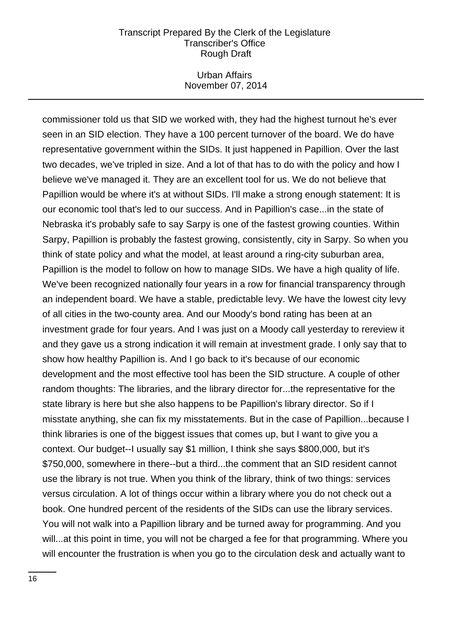### Urban Affairs November 07, 2014

commissioner told us that SID we worked with, they had the highest turnout he's ever seen in an SID election. They have a 100 percent turnover of the board. We do have representative government within the SIDs. It just happened in Papillion. Over the last two decades, we've tripled in size. And a lot of that has to do with the policy and how I believe we've managed it. They are an excellent tool for us. We do not believe that Papillion would be where it's at without SIDs. I'll make a strong enough statement: It is our economic tool that's led to our success. And in Papillion's case...in the state of Nebraska it's probably safe to say Sarpy is one of the fastest growing counties. Within Sarpy, Papillion is probably the fastest growing, consistently, city in Sarpy. So when you think of state policy and what the model, at least around a ring-city suburban area, Papillion is the model to follow on how to manage SIDs. We have a high quality of life. We've been recognized nationally four years in a row for financial transparency through an independent board. We have a stable, predictable levy. We have the lowest city levy of all cities in the two-county area. And our Moody's bond rating has been at an investment grade for four years. And I was just on a Moody call yesterday to rereview it and they gave us a strong indication it will remain at investment grade. I only say that to show how healthy Papillion is. And I go back to it's because of our economic development and the most effective tool has been the SID structure. A couple of other random thoughts: The libraries, and the library director for...the representative for the state library is here but she also happens to be Papillion's library director. So if I misstate anything, she can fix my misstatements. But in the case of Papillion...because I think libraries is one of the biggest issues that comes up, but I want to give you a context. Our budget--I usually say \$1 million, I think she says \$800,000, but it's \$750,000, somewhere in there--but a third...the comment that an SID resident cannot use the library is not true. When you think of the library, think of two things: services versus circulation. A lot of things occur within a library where you do not check out a book. One hundred percent of the residents of the SIDs can use the library services. You will not walk into a Papillion library and be turned away for programming. And you will...at this point in time, you will not be charged a fee for that programming. Where you will encounter the frustration is when you go to the circulation desk and actually want to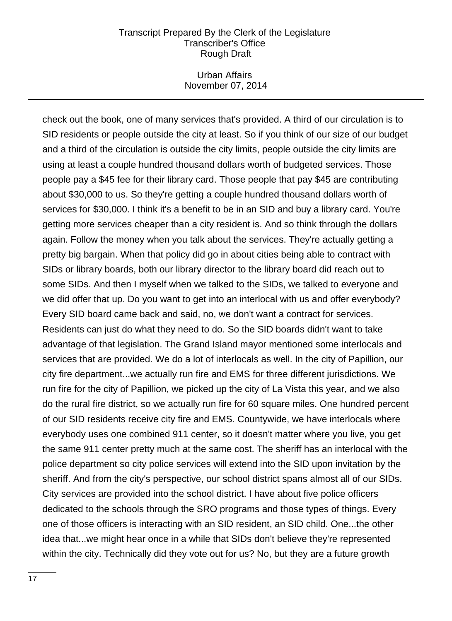### Urban Affairs November 07, 2014

check out the book, one of many services that's provided. A third of our circulation is to SID residents or people outside the city at least. So if you think of our size of our budget and a third of the circulation is outside the city limits, people outside the city limits are using at least a couple hundred thousand dollars worth of budgeted services. Those people pay a \$45 fee for their library card. Those people that pay \$45 are contributing about \$30,000 to us. So they're getting a couple hundred thousand dollars worth of services for \$30,000. I think it's a benefit to be in an SID and buy a library card. You're getting more services cheaper than a city resident is. And so think through the dollars again. Follow the money when you talk about the services. They're actually getting a pretty big bargain. When that policy did go in about cities being able to contract with SIDs or library boards, both our library director to the library board did reach out to some SIDs. And then I myself when we talked to the SIDs, we talked to everyone and we did offer that up. Do you want to get into an interlocal with us and offer everybody? Every SID board came back and said, no, we don't want a contract for services. Residents can just do what they need to do. So the SID boards didn't want to take advantage of that legislation. The Grand Island mayor mentioned some interlocals and services that are provided. We do a lot of interlocals as well. In the city of Papillion, our city fire department...we actually run fire and EMS for three different jurisdictions. We run fire for the city of Papillion, we picked up the city of La Vista this year, and we also do the rural fire district, so we actually run fire for 60 square miles. One hundred percent of our SID residents receive city fire and EMS. Countywide, we have interlocals where everybody uses one combined 911 center, so it doesn't matter where you live, you get the same 911 center pretty much at the same cost. The sheriff has an interlocal with the police department so city police services will extend into the SID upon invitation by the sheriff. And from the city's perspective, our school district spans almost all of our SIDs. City services are provided into the school district. I have about five police officers dedicated to the schools through the SRO programs and those types of things. Every one of those officers is interacting with an SID resident, an SID child. One...the other idea that...we might hear once in a while that SIDs don't believe they're represented within the city. Technically did they vote out for us? No, but they are a future growth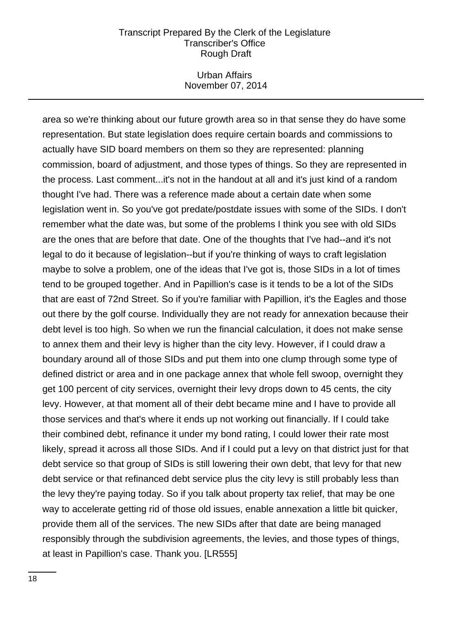### Urban Affairs November 07, 2014

area so we're thinking about our future growth area so in that sense they do have some representation. But state legislation does require certain boards and commissions to actually have SID board members on them so they are represented: planning commission, board of adjustment, and those types of things. So they are represented in the process. Last comment...it's not in the handout at all and it's just kind of a random thought I've had. There was a reference made about a certain date when some legislation went in. So you've got predate/postdate issues with some of the SIDs. I don't remember what the date was, but some of the problems I think you see with old SIDs are the ones that are before that date. One of the thoughts that I've had--and it's not legal to do it because of legislation--but if you're thinking of ways to craft legislation maybe to solve a problem, one of the ideas that I've got is, those SIDs in a lot of times tend to be grouped together. And in Papillion's case is it tends to be a lot of the SIDs that are east of 72nd Street. So if you're familiar with Papillion, it's the Eagles and those out there by the golf course. Individually they are not ready for annexation because their debt level is too high. So when we run the financial calculation, it does not make sense to annex them and their levy is higher than the city levy. However, if I could draw a boundary around all of those SIDs and put them into one clump through some type of defined district or area and in one package annex that whole fell swoop, overnight they get 100 percent of city services, overnight their levy drops down to 45 cents, the city levy. However, at that moment all of their debt became mine and I have to provide all those services and that's where it ends up not working out financially. If I could take their combined debt, refinance it under my bond rating, I could lower their rate most likely, spread it across all those SIDs. And if I could put a levy on that district just for that debt service so that group of SIDs is still lowering their own debt, that levy for that new debt service or that refinanced debt service plus the city levy is still probably less than the levy they're paying today. So if you talk about property tax relief, that may be one way to accelerate getting rid of those old issues, enable annexation a little bit quicker, provide them all of the services. The new SIDs after that date are being managed responsibly through the subdivision agreements, the levies, and those types of things, at least in Papillion's case. Thank you. [LR555]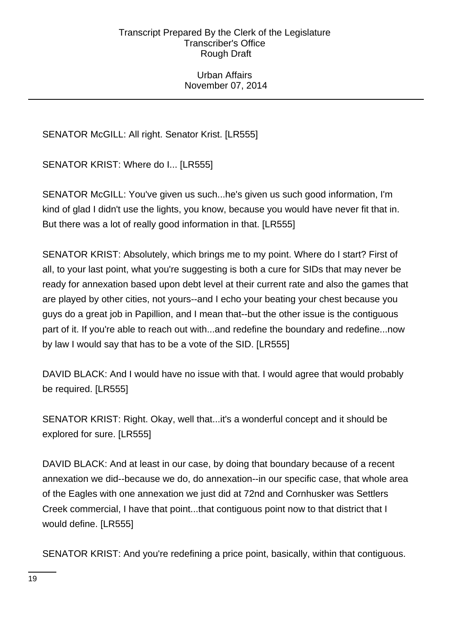### Urban Affairs November 07, 2014

SENATOR McGILL: All right. Senator Krist. [LR555]

SENATOR KRIST: Where do I... [LR555]

SENATOR McGILL: You've given us such...he's given us such good information, I'm kind of glad I didn't use the lights, you know, because you would have never fit that in. But there was a lot of really good information in that. [LR555]

SENATOR KRIST: Absolutely, which brings me to my point. Where do I start? First of all, to your last point, what you're suggesting is both a cure for SIDs that may never be ready for annexation based upon debt level at their current rate and also the games that are played by other cities, not yours--and I echo your beating your chest because you guys do a great job in Papillion, and I mean that--but the other issue is the contiguous part of it. If you're able to reach out with...and redefine the boundary and redefine...now by law I would say that has to be a vote of the SID. [LR555]

DAVID BLACK: And I would have no issue with that. I would agree that would probably be required. [LR555]

SENATOR KRIST: Right. Okay, well that...it's a wonderful concept and it should be explored for sure. [LR555]

DAVID BLACK: And at least in our case, by doing that boundary because of a recent annexation we did--because we do, do annexation--in our specific case, that whole area of the Eagles with one annexation we just did at 72nd and Cornhusker was Settlers Creek commercial, I have that point...that contiguous point now to that district that I would define. [LR555]

SENATOR KRIST: And you're redefining a price point, basically, within that contiguous.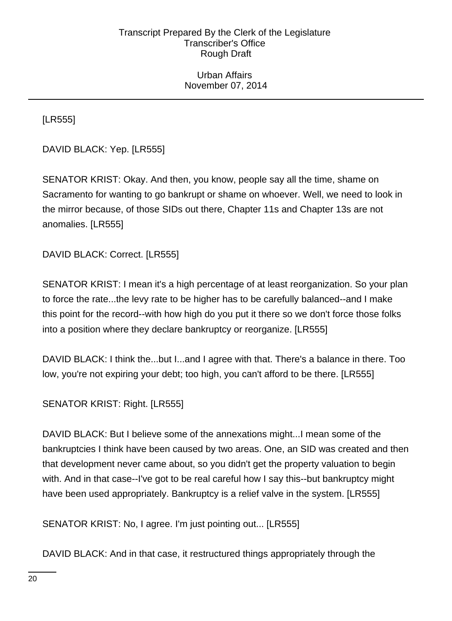Urban Affairs November 07, 2014

[LR555]

DAVID BLACK: Yep. [LR555]

SENATOR KRIST: Okay. And then, you know, people say all the time, shame on Sacramento for wanting to go bankrupt or shame on whoever. Well, we need to look in the mirror because, of those SIDs out there, Chapter 11s and Chapter 13s are not anomalies. [LR555]

DAVID BLACK: Correct. [LR555]

SENATOR KRIST: I mean it's a high percentage of at least reorganization. So your plan to force the rate...the levy rate to be higher has to be carefully balanced--and I make this point for the record--with how high do you put it there so we don't force those folks into a position where they declare bankruptcy or reorganize. [LR555]

DAVID BLACK: I think the...but I...and I agree with that. There's a balance in there. Too low, you're not expiring your debt; too high, you can't afford to be there. [LR555]

SENATOR KRIST: Right. [LR555]

DAVID BLACK: But I believe some of the annexations might...I mean some of the bankruptcies I think have been caused by two areas. One, an SID was created and then that development never came about, so you didn't get the property valuation to begin with. And in that case--I've got to be real careful how I say this--but bankruptcy might have been used appropriately. Bankruptcy is a relief valve in the system. [LR555]

SENATOR KRIST: No, I agree. I'm just pointing out... [LR555]

DAVID BLACK: And in that case, it restructured things appropriately through the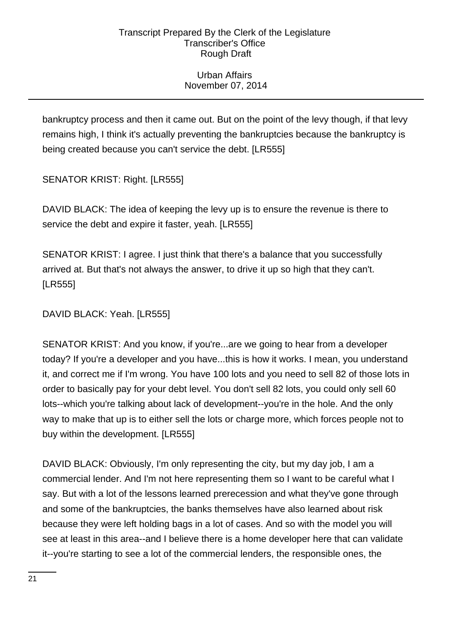# Urban Affairs November 07, 2014

bankruptcy process and then it came out. But on the point of the levy though, if that levy remains high, I think it's actually preventing the bankruptcies because the bankruptcy is being created because you can't service the debt. [LR555]

SENATOR KRIST: Right. [LR555]

DAVID BLACK: The idea of keeping the levy up is to ensure the revenue is there to service the debt and expire it faster, yeah. [LR555]

SENATOR KRIST: I agree. I just think that there's a balance that you successfully arrived at. But that's not always the answer, to drive it up so high that they can't. [LR555]

DAVID BLACK: Yeah. [LR555]

SENATOR KRIST: And you know, if you're...are we going to hear from a developer today? If you're a developer and you have...this is how it works. I mean, you understand it, and correct me if I'm wrong. You have 100 lots and you need to sell 82 of those lots in order to basically pay for your debt level. You don't sell 82 lots, you could only sell 60 lots--which you're talking about lack of development--you're in the hole. And the only way to make that up is to either sell the lots or charge more, which forces people not to buy within the development. [LR555]

DAVID BLACK: Obviously, I'm only representing the city, but my day job, I am a commercial lender. And I'm not here representing them so I want to be careful what I say. But with a lot of the lessons learned prerecession and what they've gone through and some of the bankruptcies, the banks themselves have also learned about risk because they were left holding bags in a lot of cases. And so with the model you will see at least in this area--and I believe there is a home developer here that can validate it--you're starting to see a lot of the commercial lenders, the responsible ones, the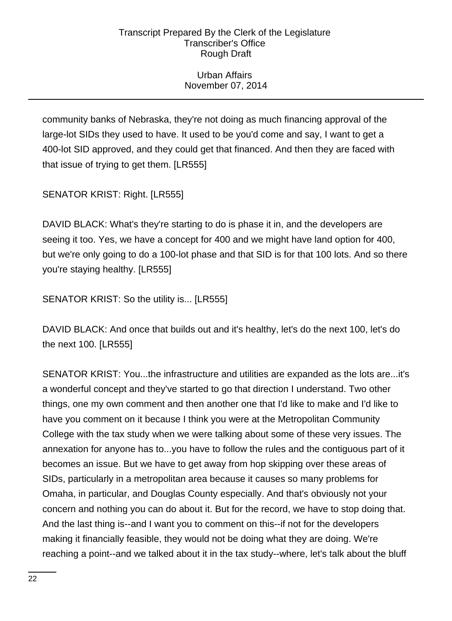# Urban Affairs November 07, 2014

community banks of Nebraska, they're not doing as much financing approval of the large-lot SIDs they used to have. It used to be you'd come and say, I want to get a 400-lot SID approved, and they could get that financed. And then they are faced with that issue of trying to get them. [LR555]

SENATOR KRIST: Right. [LR555]

DAVID BLACK: What's they're starting to do is phase it in, and the developers are seeing it too. Yes, we have a concept for 400 and we might have land option for 400, but we're only going to do a 100-lot phase and that SID is for that 100 lots. And so there you're staying healthy. [LR555]

SENATOR KRIST: So the utility is... [LR555]

DAVID BLACK: And once that builds out and it's healthy, let's do the next 100, let's do the next 100. [LR555]

SENATOR KRIST: You...the infrastructure and utilities are expanded as the lots are...it's a wonderful concept and they've started to go that direction I understand. Two other things, one my own comment and then another one that I'd like to make and I'd like to have you comment on it because I think you were at the Metropolitan Community College with the tax study when we were talking about some of these very issues. The annexation for anyone has to...you have to follow the rules and the contiguous part of it becomes an issue. But we have to get away from hop skipping over these areas of SIDs, particularly in a metropolitan area because it causes so many problems for Omaha, in particular, and Douglas County especially. And that's obviously not your concern and nothing you can do about it. But for the record, we have to stop doing that. And the last thing is--and I want you to comment on this--if not for the developers making it financially feasible, they would not be doing what they are doing. We're reaching a point--and we talked about it in the tax study--where, let's talk about the bluff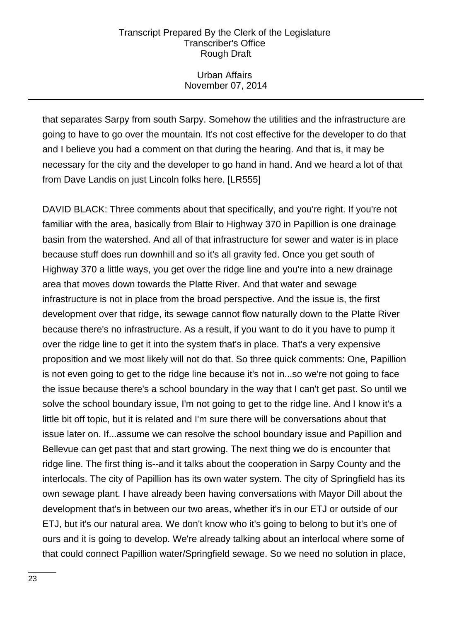# Urban Affairs November 07, 2014

that separates Sarpy from south Sarpy. Somehow the utilities and the infrastructure are going to have to go over the mountain. It's not cost effective for the developer to do that and I believe you had a comment on that during the hearing. And that is, it may be necessary for the city and the developer to go hand in hand. And we heard a lot of that from Dave Landis on just Lincoln folks here. [LR555]

DAVID BLACK: Three comments about that specifically, and you're right. If you're not familiar with the area, basically from Blair to Highway 370 in Papillion is one drainage basin from the watershed. And all of that infrastructure for sewer and water is in place because stuff does run downhill and so it's all gravity fed. Once you get south of Highway 370 a little ways, you get over the ridge line and you're into a new drainage area that moves down towards the Platte River. And that water and sewage infrastructure is not in place from the broad perspective. And the issue is, the first development over that ridge, its sewage cannot flow naturally down to the Platte River because there's no infrastructure. As a result, if you want to do it you have to pump it over the ridge line to get it into the system that's in place. That's a very expensive proposition and we most likely will not do that. So three quick comments: One, Papillion is not even going to get to the ridge line because it's not in...so we're not going to face the issue because there's a school boundary in the way that I can't get past. So until we solve the school boundary issue, I'm not going to get to the ridge line. And I know it's a little bit off topic, but it is related and I'm sure there will be conversations about that issue later on. If...assume we can resolve the school boundary issue and Papillion and Bellevue can get past that and start growing. The next thing we do is encounter that ridge line. The first thing is--and it talks about the cooperation in Sarpy County and the interlocals. The city of Papillion has its own water system. The city of Springfield has its own sewage plant. I have already been having conversations with Mayor Dill about the development that's in between our two areas, whether it's in our ETJ or outside of our ETJ, but it's our natural area. We don't know who it's going to belong to but it's one of ours and it is going to develop. We're already talking about an interlocal where some of that could connect Papillion water/Springfield sewage. So we need no solution in place,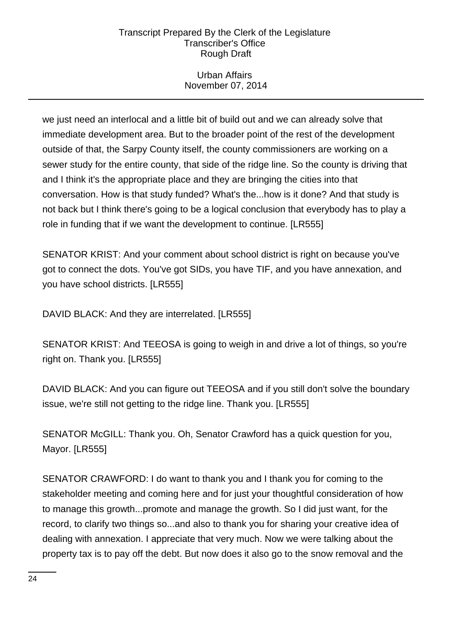# Urban Affairs November 07, 2014

we just need an interlocal and a little bit of build out and we can already solve that immediate development area. But to the broader point of the rest of the development outside of that, the Sarpy County itself, the county commissioners are working on a sewer study for the entire county, that side of the ridge line. So the county is driving that and I think it's the appropriate place and they are bringing the cities into that conversation. How is that study funded? What's the...how is it done? And that study is not back but I think there's going to be a logical conclusion that everybody has to play a role in funding that if we want the development to continue. [LR555]

SENATOR KRIST: And your comment about school district is right on because you've got to connect the dots. You've got SIDs, you have TIF, and you have annexation, and you have school districts. [LR555]

DAVID BLACK: And they are interrelated. [LR555]

SENATOR KRIST: And TEEOSA is going to weigh in and drive a lot of things, so you're right on. Thank you. [LR555]

DAVID BLACK: And you can figure out TEEOSA and if you still don't solve the boundary issue, we're still not getting to the ridge line. Thank you. [LR555]

SENATOR McGILL: Thank you. Oh, Senator Crawford has a quick question for you, Mayor. [LR555]

SENATOR CRAWFORD: I do want to thank you and I thank you for coming to the stakeholder meeting and coming here and for just your thoughtful consideration of how to manage this growth...promote and manage the growth. So I did just want, for the record, to clarify two things so...and also to thank you for sharing your creative idea of dealing with annexation. I appreciate that very much. Now we were talking about the property tax is to pay off the debt. But now does it also go to the snow removal and the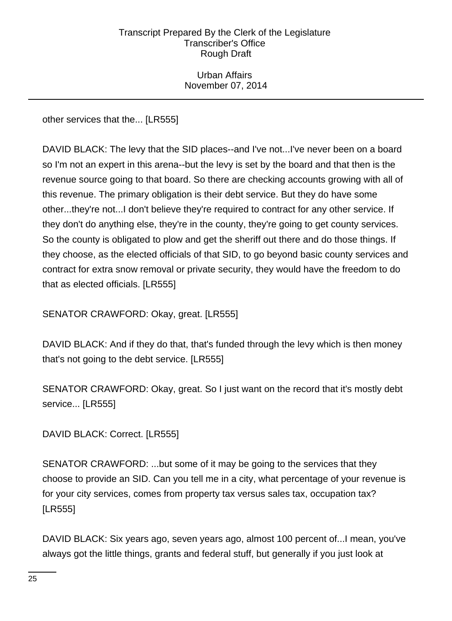Urban Affairs November 07, 2014

other services that the... [LR555]

DAVID BLACK: The levy that the SID places--and I've not...I've never been on a board so I'm not an expert in this arena--but the levy is set by the board and that then is the revenue source going to that board. So there are checking accounts growing with all of this revenue. The primary obligation is their debt service. But they do have some other...they're not...I don't believe they're required to contract for any other service. If they don't do anything else, they're in the county, they're going to get county services. So the county is obligated to plow and get the sheriff out there and do those things. If they choose, as the elected officials of that SID, to go beyond basic county services and contract for extra snow removal or private security, they would have the freedom to do that as elected officials. [LR555]

SENATOR CRAWFORD: Okay, great. [LR555]

DAVID BLACK: And if they do that, that's funded through the levy which is then money that's not going to the debt service. [LR555]

SENATOR CRAWFORD: Okay, great. So I just want on the record that it's mostly debt service... [LR555]

DAVID BLACK: Correct. [LR555]

SENATOR CRAWFORD: ...but some of it may be going to the services that they choose to provide an SID. Can you tell me in a city, what percentage of your revenue is for your city services, comes from property tax versus sales tax, occupation tax? [LR555]

DAVID BLACK: Six years ago, seven years ago, almost 100 percent of...I mean, you've always got the little things, grants and federal stuff, but generally if you just look at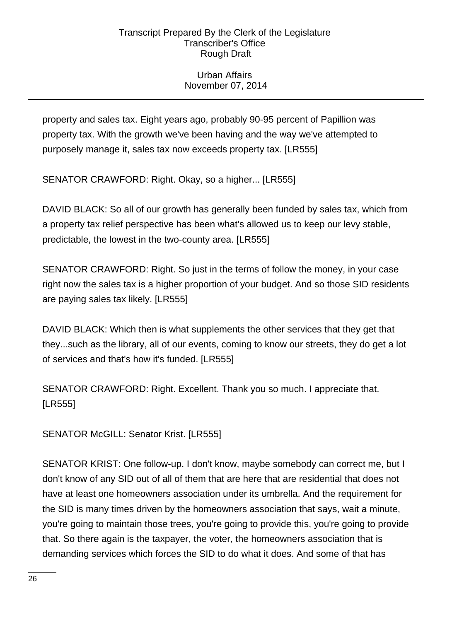# Urban Affairs November 07, 2014

property and sales tax. Eight years ago, probably 90-95 percent of Papillion was property tax. With the growth we've been having and the way we've attempted to purposely manage it, sales tax now exceeds property tax. [LR555]

SENATOR CRAWFORD: Right. Okay, so a higher... [LR555]

DAVID BLACK: So all of our growth has generally been funded by sales tax, which from a property tax relief perspective has been what's allowed us to keep our levy stable, predictable, the lowest in the two-county area. [LR555]

SENATOR CRAWFORD: Right. So just in the terms of follow the money, in your case right now the sales tax is a higher proportion of your budget. And so those SID residents are paying sales tax likely. [LR555]

DAVID BLACK: Which then is what supplements the other services that they get that they...such as the library, all of our events, coming to know our streets, they do get a lot of services and that's how it's funded. [LR555]

SENATOR CRAWFORD: Right. Excellent. Thank you so much. I appreciate that. [LR555]

SENATOR McGILL: Senator Krist. [LR555]

SENATOR KRIST: One follow-up. I don't know, maybe somebody can correct me, but I don't know of any SID out of all of them that are here that are residential that does not have at least one homeowners association under its umbrella. And the requirement for the SID is many times driven by the homeowners association that says, wait a minute, you're going to maintain those trees, you're going to provide this, you're going to provide that. So there again is the taxpayer, the voter, the homeowners association that is demanding services which forces the SID to do what it does. And some of that has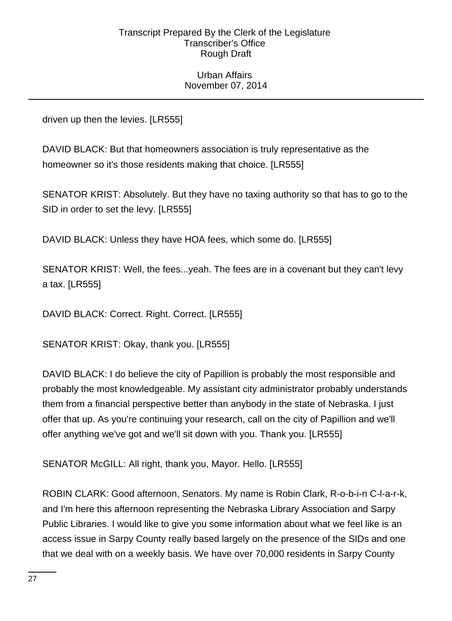### Urban Affairs November 07, 2014

driven up then the levies. [LR555]

DAVID BLACK: But that homeowners association is truly representative as the homeowner so it's those residents making that choice. [LR555]

SENATOR KRIST: Absolutely. But they have no taxing authority so that has to go to the SID in order to set the levy. [LR555]

DAVID BLACK: Unless they have HOA fees, which some do. [LR555]

SENATOR KRIST: Well, the fees...yeah. The fees are in a covenant but they can't levy a tax. [LR555]

DAVID BLACK: Correct. Right. Correct. [LR555]

SENATOR KRIST: Okay, thank you. [LR555]

DAVID BLACK: I do believe the city of Papillion is probably the most responsible and probably the most knowledgeable. My assistant city administrator probably understands them from a financial perspective better than anybody in the state of Nebraska. I just offer that up. As you're continuing your research, call on the city of Papillion and we'll offer anything we've got and we'll sit down with you. Thank you. [LR555]

SENATOR McGILL: All right, thank you, Mayor. Hello. [LR555]

ROBIN CLARK: Good afternoon, Senators. My name is Robin Clark, R-o-b-i-n C-l-a-r-k, and I'm here this afternoon representing the Nebraska Library Association and Sarpy Public Libraries. I would like to give you some information about what we feel like is an access issue in Sarpy County really based largely on the presence of the SIDs and one that we deal with on a weekly basis. We have over 70,000 residents in Sarpy County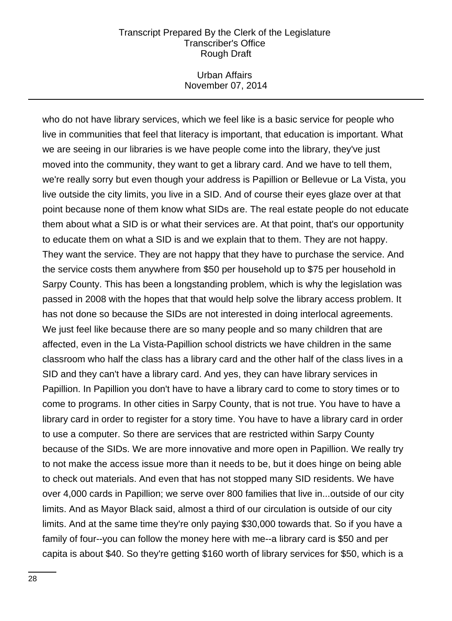### Urban Affairs November 07, 2014

who do not have library services, which we feel like is a basic service for people who live in communities that feel that literacy is important, that education is important. What we are seeing in our libraries is we have people come into the library, they've just moved into the community, they want to get a library card. And we have to tell them, we're really sorry but even though your address is Papillion or Bellevue or La Vista, you live outside the city limits, you live in a SID. And of course their eyes glaze over at that point because none of them know what SIDs are. The real estate people do not educate them about what a SID is or what their services are. At that point, that's our opportunity to educate them on what a SID is and we explain that to them. They are not happy. They want the service. They are not happy that they have to purchase the service. And the service costs them anywhere from \$50 per household up to \$75 per household in Sarpy County. This has been a longstanding problem, which is why the legislation was passed in 2008 with the hopes that that would help solve the library access problem. It has not done so because the SIDs are not interested in doing interlocal agreements. We just feel like because there are so many people and so many children that are affected, even in the La Vista-Papillion school districts we have children in the same classroom who half the class has a library card and the other half of the class lives in a SID and they can't have a library card. And yes, they can have library services in Papillion. In Papillion you don't have to have a library card to come to story times or to come to programs. In other cities in Sarpy County, that is not true. You have to have a library card in order to register for a story time. You have to have a library card in order to use a computer. So there are services that are restricted within Sarpy County because of the SIDs. We are more innovative and more open in Papillion. We really try to not make the access issue more than it needs to be, but it does hinge on being able to check out materials. And even that has not stopped many SID residents. We have over 4,000 cards in Papillion; we serve over 800 families that live in...outside of our city limits. And as Mayor Black said, almost a third of our circulation is outside of our city limits. And at the same time they're only paying \$30,000 towards that. So if you have a family of four--you can follow the money here with me--a library card is \$50 and per capita is about \$40. So they're getting \$160 worth of library services for \$50, which is a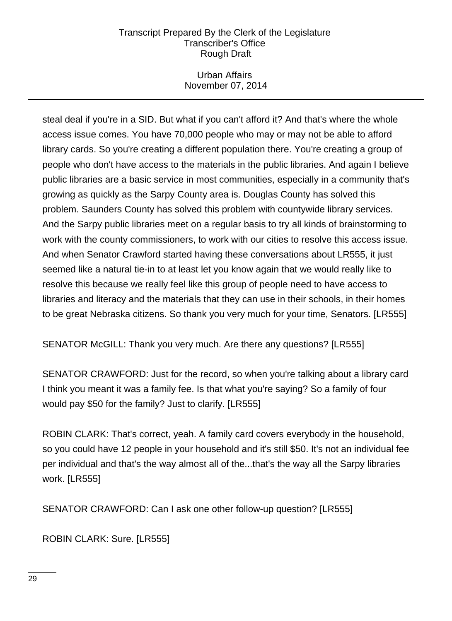# Urban Affairs November 07, 2014

steal deal if you're in a SID. But what if you can't afford it? And that's where the whole access issue comes. You have 70,000 people who may or may not be able to afford library cards. So you're creating a different population there. You're creating a group of people who don't have access to the materials in the public libraries. And again I believe public libraries are a basic service in most communities, especially in a community that's growing as quickly as the Sarpy County area is. Douglas County has solved this problem. Saunders County has solved this problem with countywide library services. And the Sarpy public libraries meet on a regular basis to try all kinds of brainstorming to work with the county commissioners, to work with our cities to resolve this access issue. And when Senator Crawford started having these conversations about LR555, it just seemed like a natural tie-in to at least let you know again that we would really like to resolve this because we really feel like this group of people need to have access to libraries and literacy and the materials that they can use in their schools, in their homes to be great Nebraska citizens. So thank you very much for your time, Senators. [LR555]

SENATOR McGILL: Thank you very much. Are there any questions? [LR555]

SENATOR CRAWFORD: Just for the record, so when you're talking about a library card I think you meant it was a family fee. Is that what you're saying? So a family of four would pay \$50 for the family? Just to clarify. [LR555]

ROBIN CLARK: That's correct, yeah. A family card covers everybody in the household, so you could have 12 people in your household and it's still \$50. It's not an individual fee per individual and that's the way almost all of the...that's the way all the Sarpy libraries work. [LR555]

SENATOR CRAWFORD: Can I ask one other follow-up question? [LR555]

ROBIN CLARK: Sure. [LR555]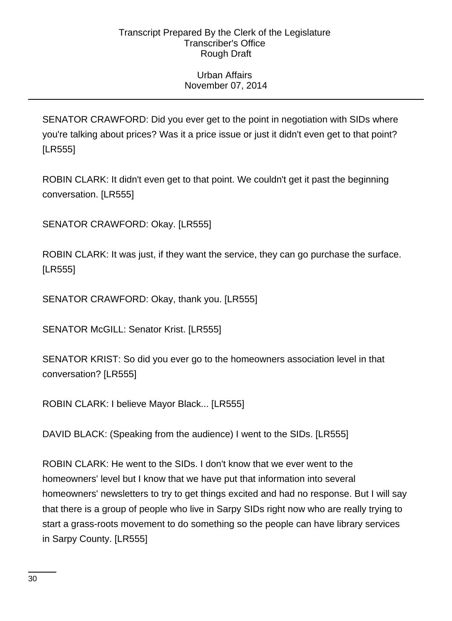# Urban Affairs November 07, 2014

SENATOR CRAWFORD: Did you ever get to the point in negotiation with SIDs where you're talking about prices? Was it a price issue or just it didn't even get to that point? [LR555]

ROBIN CLARK: It didn't even get to that point. We couldn't get it past the beginning conversation. [LR555]

SENATOR CRAWFORD: Okay. [LR555]

ROBIN CLARK: It was just, if they want the service, they can go purchase the surface. [LR555]

SENATOR CRAWFORD: Okay, thank you. [LR555]

SENATOR McGILL: Senator Krist. [LR555]

SENATOR KRIST: So did you ever go to the homeowners association level in that conversation? [LR555]

ROBIN CLARK: I believe Mayor Black... [LR555]

DAVID BLACK: (Speaking from the audience) I went to the SIDs. [LR555]

ROBIN CLARK: He went to the SIDs. I don't know that we ever went to the homeowners' level but I know that we have put that information into several homeowners' newsletters to try to get things excited and had no response. But I will say that there is a group of people who live in Sarpy SIDs right now who are really trying to start a grass-roots movement to do something so the people can have library services in Sarpy County. [LR555]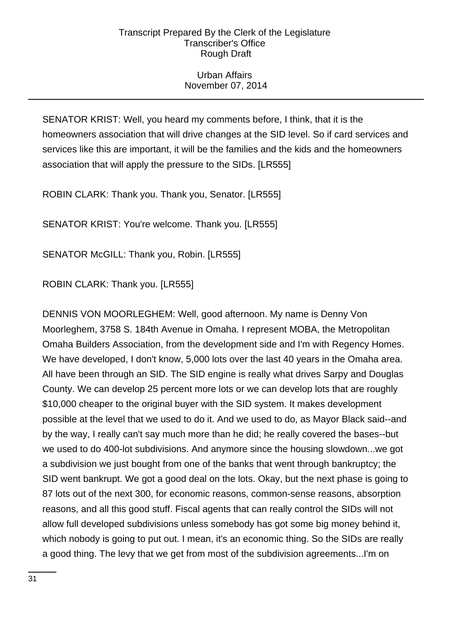# Urban Affairs November 07, 2014

SENATOR KRIST: Well, you heard my comments before, I think, that it is the homeowners association that will drive changes at the SID level. So if card services and services like this are important, it will be the families and the kids and the homeowners association that will apply the pressure to the SIDs. [LR555]

ROBIN CLARK: Thank you. Thank you, Senator. [LR555]

SENATOR KRIST: You're welcome. Thank you. [LR555]

SENATOR McGILL: Thank you, Robin. [LR555]

ROBIN CLARK: Thank you. [LR555]

DENNIS VON MOORLEGHEM: Well, good afternoon. My name is Denny Von Moorleghem, 3758 S. 184th Avenue in Omaha. I represent MOBA, the Metropolitan Omaha Builders Association, from the development side and I'm with Regency Homes. We have developed, I don't know, 5,000 lots over the last 40 years in the Omaha area. All have been through an SID. The SID engine is really what drives Sarpy and Douglas County. We can develop 25 percent more lots or we can develop lots that are roughly \$10,000 cheaper to the original buyer with the SID system. It makes development possible at the level that we used to do it. And we used to do, as Mayor Black said--and by the way, I really can't say much more than he did; he really covered the bases--but we used to do 400-lot subdivisions. And anymore since the housing slowdown...we got a subdivision we just bought from one of the banks that went through bankruptcy; the SID went bankrupt. We got a good deal on the lots. Okay, but the next phase is going to 87 lots out of the next 300, for economic reasons, common-sense reasons, absorption reasons, and all this good stuff. Fiscal agents that can really control the SIDs will not allow full developed subdivisions unless somebody has got some big money behind it, which nobody is going to put out. I mean, it's an economic thing. So the SIDs are really a good thing. The levy that we get from most of the subdivision agreements...I'm on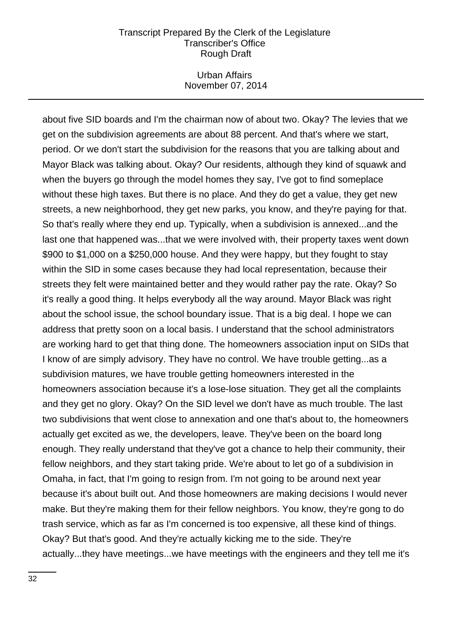### Urban Affairs November 07, 2014

about five SID boards and I'm the chairman now of about two. Okay? The levies that we get on the subdivision agreements are about 88 percent. And that's where we start, period. Or we don't start the subdivision for the reasons that you are talking about and Mayor Black was talking about. Okay? Our residents, although they kind of squawk and when the buyers go through the model homes they say, I've got to find someplace without these high taxes. But there is no place. And they do get a value, they get new streets, a new neighborhood, they get new parks, you know, and they're paying for that. So that's really where they end up. Typically, when a subdivision is annexed...and the last one that happened was...that we were involved with, their property taxes went down \$900 to \$1,000 on a \$250,000 house. And they were happy, but they fought to stay within the SID in some cases because they had local representation, because their streets they felt were maintained better and they would rather pay the rate. Okay? So it's really a good thing. It helps everybody all the way around. Mayor Black was right about the school issue, the school boundary issue. That is a big deal. I hope we can address that pretty soon on a local basis. I understand that the school administrators are working hard to get that thing done. The homeowners association input on SIDs that I know of are simply advisory. They have no control. We have trouble getting...as a subdivision matures, we have trouble getting homeowners interested in the homeowners association because it's a lose-lose situation. They get all the complaints and they get no glory. Okay? On the SID level we don't have as much trouble. The last two subdivisions that went close to annexation and one that's about to, the homeowners actually get excited as we, the developers, leave. They've been on the board long enough. They really understand that they've got a chance to help their community, their fellow neighbors, and they start taking pride. We're about to let go of a subdivision in Omaha, in fact, that I'm going to resign from. I'm not going to be around next year because it's about built out. And those homeowners are making decisions I would never make. But they're making them for their fellow neighbors. You know, they're gong to do trash service, which as far as I'm concerned is too expensive, all these kind of things. Okay? But that's good. And they're actually kicking me to the side. They're actually...they have meetings...we have meetings with the engineers and they tell me it's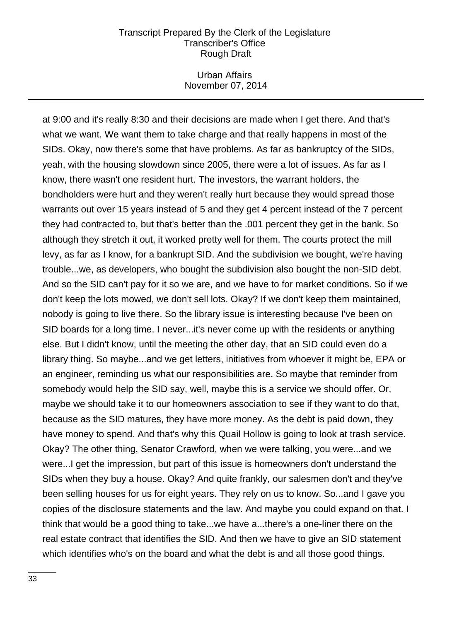### Urban Affairs November 07, 2014

at 9:00 and it's really 8:30 and their decisions are made when I get there. And that's what we want. We want them to take charge and that really happens in most of the SIDs. Okay, now there's some that have problems. As far as bankruptcy of the SIDs, yeah, with the housing slowdown since 2005, there were a lot of issues. As far as I know, there wasn't one resident hurt. The investors, the warrant holders, the bondholders were hurt and they weren't really hurt because they would spread those warrants out over 15 years instead of 5 and they get 4 percent instead of the 7 percent they had contracted to, but that's better than the .001 percent they get in the bank. So although they stretch it out, it worked pretty well for them. The courts protect the mill levy, as far as I know, for a bankrupt SID. And the subdivision we bought, we're having trouble...we, as developers, who bought the subdivision also bought the non-SID debt. And so the SID can't pay for it so we are, and we have to for market conditions. So if we don't keep the lots mowed, we don't sell lots. Okay? If we don't keep them maintained, nobody is going to live there. So the library issue is interesting because I've been on SID boards for a long time. I never...it's never come up with the residents or anything else. But I didn't know, until the meeting the other day, that an SID could even do a library thing. So maybe...and we get letters, initiatives from whoever it might be, EPA or an engineer, reminding us what our responsibilities are. So maybe that reminder from somebody would help the SID say, well, maybe this is a service we should offer. Or, maybe we should take it to our homeowners association to see if they want to do that, because as the SID matures, they have more money. As the debt is paid down, they have money to spend. And that's why this Quail Hollow is going to look at trash service. Okay? The other thing, Senator Crawford, when we were talking, you were...and we were...I get the impression, but part of this issue is homeowners don't understand the SIDs when they buy a house. Okay? And quite frankly, our salesmen don't and they've been selling houses for us for eight years. They rely on us to know. So...and I gave you copies of the disclosure statements and the law. And maybe you could expand on that. I think that would be a good thing to take...we have a...there's a one-liner there on the real estate contract that identifies the SID. And then we have to give an SID statement which identifies who's on the board and what the debt is and all those good things.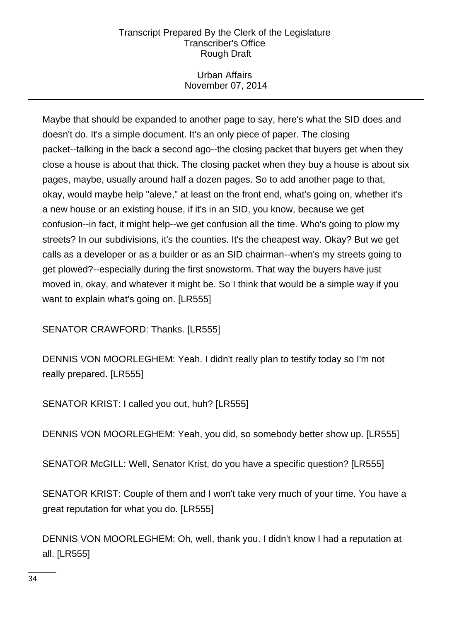# Urban Affairs November 07, 2014

Maybe that should be expanded to another page to say, here's what the SID does and doesn't do. It's a simple document. It's an only piece of paper. The closing packet--talking in the back a second ago--the closing packet that buyers get when they close a house is about that thick. The closing packet when they buy a house is about six pages, maybe, usually around half a dozen pages. So to add another page to that, okay, would maybe help "aleve," at least on the front end, what's going on, whether it's a new house or an existing house, if it's in an SID, you know, because we get confusion--in fact, it might help--we get confusion all the time. Who's going to plow my streets? In our subdivisions, it's the counties. It's the cheapest way. Okay? But we get calls as a developer or as a builder or as an SID chairman--when's my streets going to get plowed?--especially during the first snowstorm. That way the buyers have just moved in, okay, and whatever it might be. So I think that would be a simple way if you want to explain what's going on. [LR555]

SENATOR CRAWFORD: Thanks. [LR555]

DENNIS VON MOORLEGHEM: Yeah. I didn't really plan to testify today so I'm not really prepared. [LR555]

SENATOR KRIST: I called you out, huh? [LR555]

DENNIS VON MOORLEGHEM: Yeah, you did, so somebody better show up. [LR555]

SENATOR McGILL: Well, Senator Krist, do you have a specific question? [LR555]

SENATOR KRIST: Couple of them and I won't take very much of your time. You have a great reputation for what you do. [LR555]

DENNIS VON MOORLEGHEM: Oh, well, thank you. I didn't know I had a reputation at all. [LR555]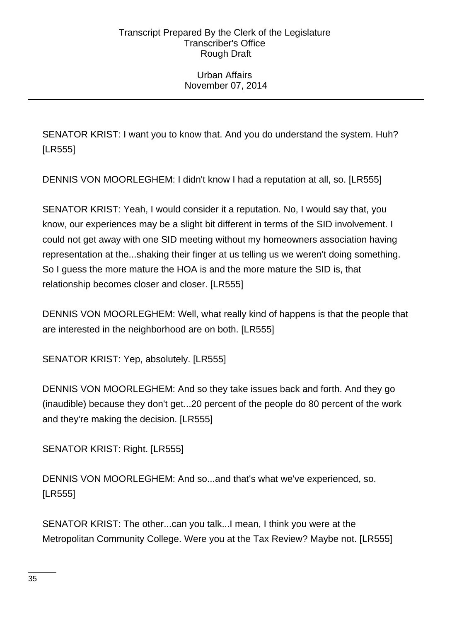# Urban Affairs November 07, 2014

SENATOR KRIST: I want you to know that. And you do understand the system. Huh? [LR555]

DENNIS VON MOORLEGHEM: I didn't know I had a reputation at all, so. [LR555]

SENATOR KRIST: Yeah, I would consider it a reputation. No, I would say that, you know, our experiences may be a slight bit different in terms of the SID involvement. I could not get away with one SID meeting without my homeowners association having representation at the...shaking their finger at us telling us we weren't doing something. So I guess the more mature the HOA is and the more mature the SID is, that relationship becomes closer and closer. [LR555]

DENNIS VON MOORLEGHEM: Well, what really kind of happens is that the people that are interested in the neighborhood are on both. [LR555]

SENATOR KRIST: Yep, absolutely. [LR555]

DENNIS VON MOORLEGHEM: And so they take issues back and forth. And they go (inaudible) because they don't get...20 percent of the people do 80 percent of the work and they're making the decision. [LR555]

SENATOR KRIST: Right. [LR555]

DENNIS VON MOORLEGHEM: And so...and that's what we've experienced, so. [LR555]

SENATOR KRIST: The other...can you talk...I mean, I think you were at the Metropolitan Community College. Were you at the Tax Review? Maybe not. [LR555]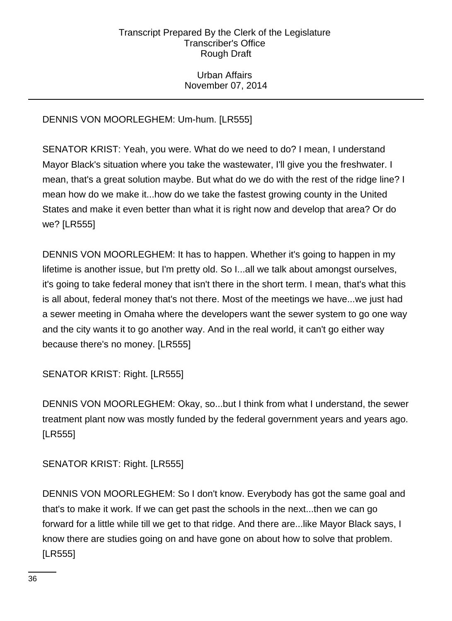# Urban Affairs November 07, 2014

# DENNIS VON MOORLEGHEM: Um-hum. [LR555]

SENATOR KRIST: Yeah, you were. What do we need to do? I mean, I understand Mayor Black's situation where you take the wastewater, I'll give you the freshwater. I mean, that's a great solution maybe. But what do we do with the rest of the ridge line? I mean how do we make it...how do we take the fastest growing county in the United States and make it even better than what it is right now and develop that area? Or do we? [LR555]

DENNIS VON MOORLEGHEM: It has to happen. Whether it's going to happen in my lifetime is another issue, but I'm pretty old. So I...all we talk about amongst ourselves, it's going to take federal money that isn't there in the short term. I mean, that's what this is all about, federal money that's not there. Most of the meetings we have...we just had a sewer meeting in Omaha where the developers want the sewer system to go one way and the city wants it to go another way. And in the real world, it can't go either way because there's no money. [LR555]

SENATOR KRIST: Right. [LR555]

DENNIS VON MOORLEGHEM: Okay, so...but I think from what I understand, the sewer treatment plant now was mostly funded by the federal government years and years ago. [LR555]

SENATOR KRIST: Right. [LR555]

DENNIS VON MOORLEGHEM: So I don't know. Everybody has got the same goal and that's to make it work. If we can get past the schools in the next...then we can go forward for a little while till we get to that ridge. And there are...like Mayor Black says, I know there are studies going on and have gone on about how to solve that problem. [LR555]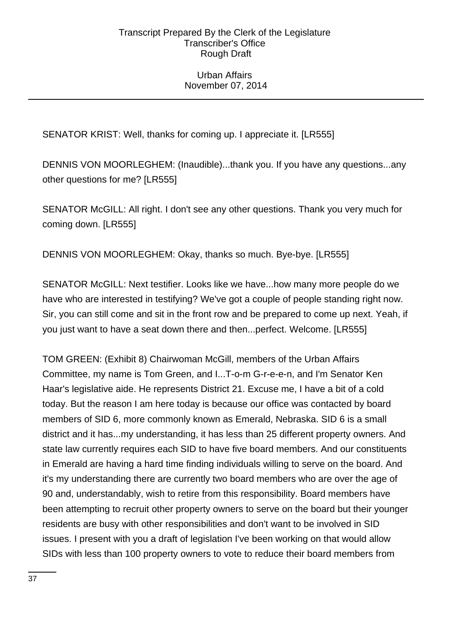## Urban Affairs November 07, 2014

SENATOR KRIST: Well, thanks for coming up. I appreciate it. [LR555]

DENNIS VON MOORLEGHEM: (Inaudible)...thank you. If you have any questions...any other questions for me? [LR555]

SENATOR McGILL: All right. I don't see any other questions. Thank you very much for coming down. [LR555]

DENNIS VON MOORLEGHEM: Okay, thanks so much. Bye-bye. [LR555]

SENATOR McGILL: Next testifier. Looks like we have...how many more people do we have who are interested in testifying? We've got a couple of people standing right now. Sir, you can still come and sit in the front row and be prepared to come up next. Yeah, if you just want to have a seat down there and then...perfect. Welcome. [LR555]

TOM GREEN: (Exhibit 8) Chairwoman McGill, members of the Urban Affairs Committee, my name is Tom Green, and I...T-o-m G-r-e-e-n, and I'm Senator Ken Haar's legislative aide. He represents District 21. Excuse me, I have a bit of a cold today. But the reason I am here today is because our office was contacted by board members of SID 6, more commonly known as Emerald, Nebraska. SID 6 is a small district and it has...my understanding, it has less than 25 different property owners. And state law currently requires each SID to have five board members. And our constituents in Emerald are having a hard time finding individuals willing to serve on the board. And it's my understanding there are currently two board members who are over the age of 90 and, understandably, wish to retire from this responsibility. Board members have been attempting to recruit other property owners to serve on the board but their younger residents are busy with other responsibilities and don't want to be involved in SID issues. I present with you a draft of legislation I've been working on that would allow SIDs with less than 100 property owners to vote to reduce their board members from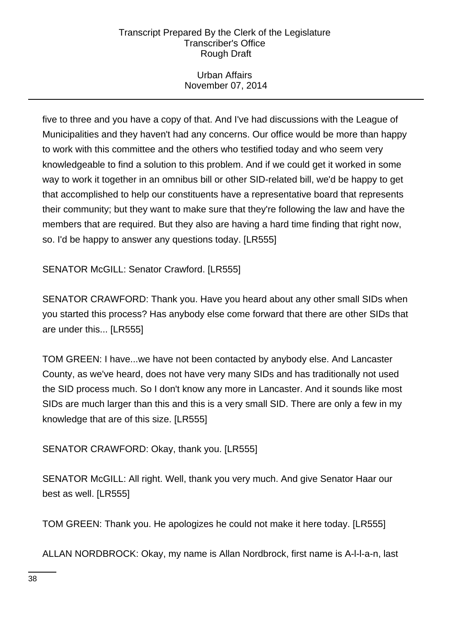# Urban Affairs November 07, 2014

five to three and you have a copy of that. And I've had discussions with the League of Municipalities and they haven't had any concerns. Our office would be more than happy to work with this committee and the others who testified today and who seem very knowledgeable to find a solution to this problem. And if we could get it worked in some way to work it together in an omnibus bill or other SID-related bill, we'd be happy to get that accomplished to help our constituents have a representative board that represents their community; but they want to make sure that they're following the law and have the members that are required. But they also are having a hard time finding that right now, so. I'd be happy to answer any questions today. [LR555]

SENATOR McGILL: Senator Crawford. [LR555]

SENATOR CRAWFORD: Thank you. Have you heard about any other small SIDs when you started this process? Has anybody else come forward that there are other SIDs that are under this... [LR555]

TOM GREEN: I have...we have not been contacted by anybody else. And Lancaster County, as we've heard, does not have very many SIDs and has traditionally not used the SID process much. So I don't know any more in Lancaster. And it sounds like most SIDs are much larger than this and this is a very small SID. There are only a few in my knowledge that are of this size. [LR555]

SENATOR CRAWFORD: Okay, thank you. [LR555]

SENATOR McGILL: All right. Well, thank you very much. And give Senator Haar our best as well. [LR555]

TOM GREEN: Thank you. He apologizes he could not make it here today. [LR555]

ALLAN NORDBROCK: Okay, my name is Allan Nordbrock, first name is A-l-l-a-n, last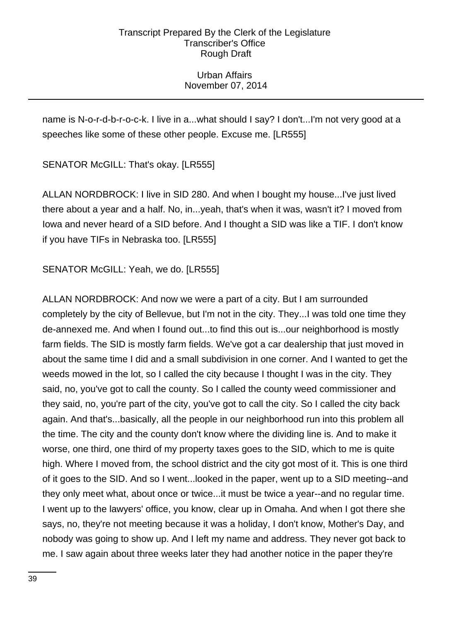# Urban Affairs November 07, 2014

name is N-o-r-d-b-r-o-c-k. I live in a...what should I say? I don't...I'm not very good at a speeches like some of these other people. Excuse me. [LR555]

SENATOR McGILL: That's okay. [LR555]

ALLAN NORDBROCK: I live in SID 280. And when I bought my house...I've just lived there about a year and a half. No, in...yeah, that's when it was, wasn't it? I moved from Iowa and never heard of a SID before. And I thought a SID was like a TIF. I don't know if you have TIFs in Nebraska too. [LR555]

SENATOR McGILL: Yeah, we do. [LR555]

ALLAN NORDBROCK: And now we were a part of a city. But I am surrounded completely by the city of Bellevue, but I'm not in the city. They...I was told one time they de-annexed me. And when I found out...to find this out is...our neighborhood is mostly farm fields. The SID is mostly farm fields. We've got a car dealership that just moved in about the same time I did and a small subdivision in one corner. And I wanted to get the weeds mowed in the lot, so I called the city because I thought I was in the city. They said, no, you've got to call the county. So I called the county weed commissioner and they said, no, you're part of the city, you've got to call the city. So I called the city back again. And that's...basically, all the people in our neighborhood run into this problem all the time. The city and the county don't know where the dividing line is. And to make it worse, one third, one third of my property taxes goes to the SID, which to me is quite high. Where I moved from, the school district and the city got most of it. This is one third of it goes to the SID. And so I went...looked in the paper, went up to a SID meeting--and they only meet what, about once or twice...it must be twice a year--and no regular time. I went up to the lawyers' office, you know, clear up in Omaha. And when I got there she says, no, they're not meeting because it was a holiday, I don't know, Mother's Day, and nobody was going to show up. And I left my name and address. They never got back to me. I saw again about three weeks later they had another notice in the paper they're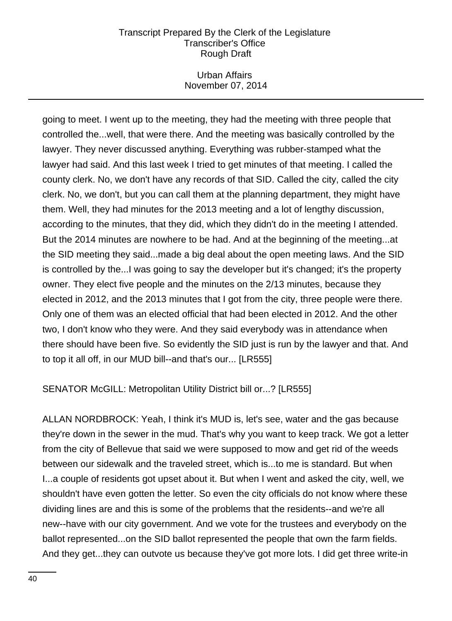# Urban Affairs November 07, 2014

going to meet. I went up to the meeting, they had the meeting with three people that controlled the...well, that were there. And the meeting was basically controlled by the lawyer. They never discussed anything. Everything was rubber-stamped what the lawyer had said. And this last week I tried to get minutes of that meeting. I called the county clerk. No, we don't have any records of that SID. Called the city, called the city clerk. No, we don't, but you can call them at the planning department, they might have them. Well, they had minutes for the 2013 meeting and a lot of lengthy discussion, according to the minutes, that they did, which they didn't do in the meeting I attended. But the 2014 minutes are nowhere to be had. And at the beginning of the meeting...at the SID meeting they said...made a big deal about the open meeting laws. And the SID is controlled by the...I was going to say the developer but it's changed; it's the property owner. They elect five people and the minutes on the 2/13 minutes, because they elected in 2012, and the 2013 minutes that I got from the city, three people were there. Only one of them was an elected official that had been elected in 2012. And the other two, I don't know who they were. And they said everybody was in attendance when there should have been five. So evidently the SID just is run by the lawyer and that. And to top it all off, in our MUD bill--and that's our... [LR555]

# SENATOR McGILL: Metropolitan Utility District bill or...? [LR555]

ALLAN NORDBROCK: Yeah, I think it's MUD is, let's see, water and the gas because they're down in the sewer in the mud. That's why you want to keep track. We got a letter from the city of Bellevue that said we were supposed to mow and get rid of the weeds between our sidewalk and the traveled street, which is...to me is standard. But when I...a couple of residents got upset about it. But when I went and asked the city, well, we shouldn't have even gotten the letter. So even the city officials do not know where these dividing lines are and this is some of the problems that the residents--and we're all new--have with our city government. And we vote for the trustees and everybody on the ballot represented...on the SID ballot represented the people that own the farm fields. And they get...they can outvote us because they've got more lots. I did get three write-in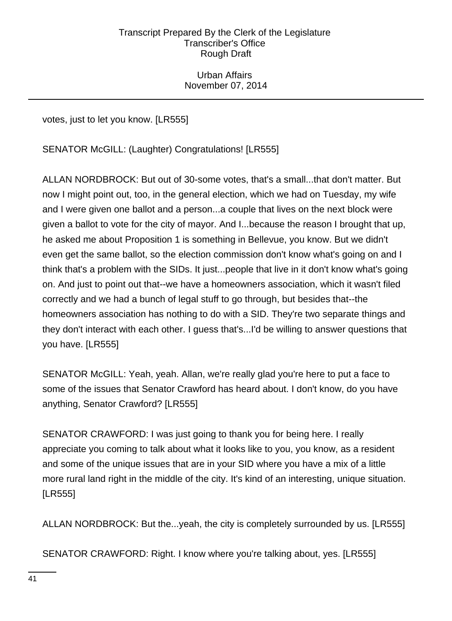Urban Affairs November 07, 2014

votes, just to let you know. [LR555]

SENATOR McGILL: (Laughter) Congratulations! [LR555]

ALLAN NORDBROCK: But out of 30-some votes, that's a small...that don't matter. But now I might point out, too, in the general election, which we had on Tuesday, my wife and I were given one ballot and a person...a couple that lives on the next block were given a ballot to vote for the city of mayor. And I...because the reason I brought that up, he asked me about Proposition 1 is something in Bellevue, you know. But we didn't even get the same ballot, so the election commission don't know what's going on and I think that's a problem with the SIDs. It just...people that live in it don't know what's going on. And just to point out that--we have a homeowners association, which it wasn't filed correctly and we had a bunch of legal stuff to go through, but besides that--the homeowners association has nothing to do with a SID. They're two separate things and they don't interact with each other. I guess that's...I'd be willing to answer questions that you have. [LR555]

SENATOR McGILL: Yeah, yeah. Allan, we're really glad you're here to put a face to some of the issues that Senator Crawford has heard about. I don't know, do you have anything, Senator Crawford? [LR555]

SENATOR CRAWFORD: I was just going to thank you for being here. I really appreciate you coming to talk about what it looks like to you, you know, as a resident and some of the unique issues that are in your SID where you have a mix of a little more rural land right in the middle of the city. It's kind of an interesting, unique situation. [LR555]

ALLAN NORDBROCK: But the...yeah, the city is completely surrounded by us. [LR555]

SENATOR CRAWFORD: Right. I know where you're talking about, yes. [LR555]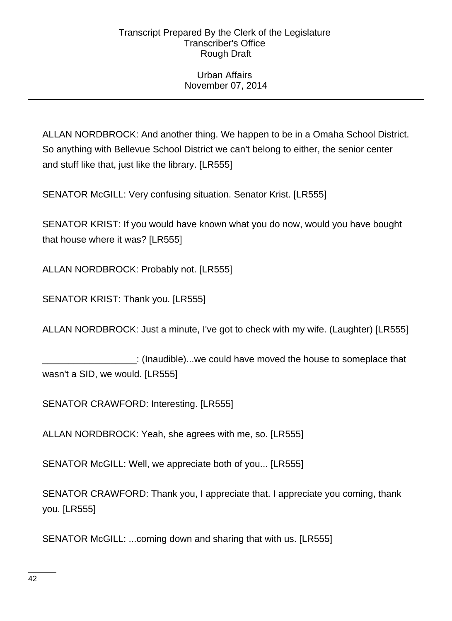# Urban Affairs November 07, 2014

ALLAN NORDBROCK: And another thing. We happen to be in a Omaha School District. So anything with Bellevue School District we can't belong to either, the senior center and stuff like that, just like the library. [LR555]

SENATOR McGILL: Very confusing situation. Senator Krist. [LR555]

SENATOR KRIST: If you would have known what you do now, would you have bought that house where it was? [LR555]

ALLAN NORDBROCK: Probably not. [LR555]

SENATOR KRIST: Thank you. [LR555]

ALLAN NORDBROCK: Just a minute, I've got to check with my wife. (Laughter) [LR555]

\_\_\_\_\_\_\_\_\_\_\_\_\_\_\_\_\_\_: (Inaudible)...we could have moved the house to someplace that wasn't a SID, we would. [LR555]

SENATOR CRAWFORD: Interesting. [LR555]

ALLAN NORDBROCK: Yeah, she agrees with me, so. [LR555]

SENATOR McGILL: Well, we appreciate both of you... [LR555]

SENATOR CRAWFORD: Thank you, I appreciate that. I appreciate you coming, thank you. [LR555]

SENATOR McGILL: ...coming down and sharing that with us. [LR555]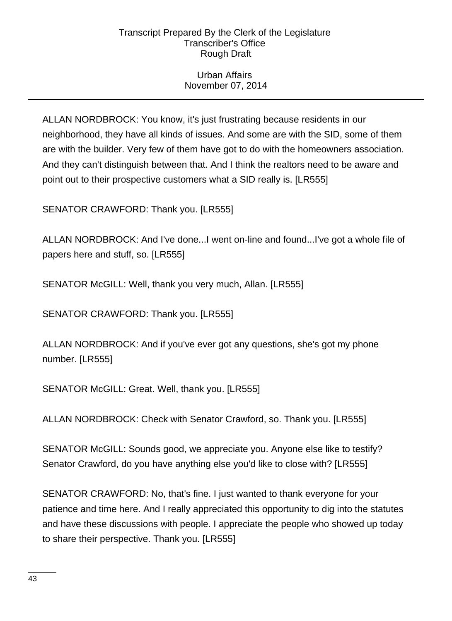# Urban Affairs November 07, 2014

ALLAN NORDBROCK: You know, it's just frustrating because residents in our neighborhood, they have all kinds of issues. And some are with the SID, some of them are with the builder. Very few of them have got to do with the homeowners association. And they can't distinguish between that. And I think the realtors need to be aware and point out to their prospective customers what a SID really is. [LR555]

SENATOR CRAWFORD: Thank you. [LR555]

ALLAN NORDBROCK: And I've done...I went on-line and found...I've got a whole file of papers here and stuff, so. [LR555]

SENATOR McGILL: Well, thank you very much, Allan. [LR555]

SENATOR CRAWFORD: Thank you. [LR555]

ALLAN NORDBROCK: And if you've ever got any questions, she's got my phone number. [LR555]

SENATOR McGILL: Great. Well, thank you. [LR555]

ALLAN NORDBROCK: Check with Senator Crawford, so. Thank you. [LR555]

SENATOR McGILL: Sounds good, we appreciate you. Anyone else like to testify? Senator Crawford, do you have anything else you'd like to close with? [LR555]

SENATOR CRAWFORD: No, that's fine. I just wanted to thank everyone for your patience and time here. And I really appreciated this opportunity to dig into the statutes and have these discussions with people. I appreciate the people who showed up today to share their perspective. Thank you. [LR555]